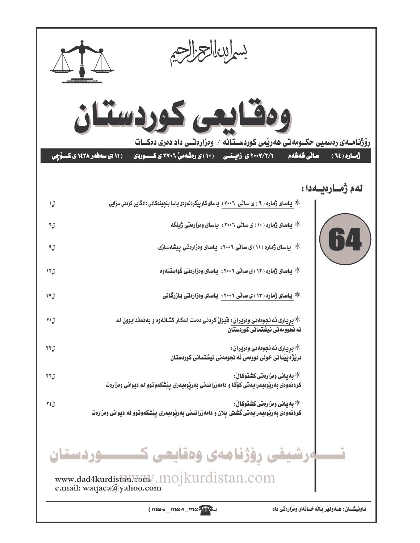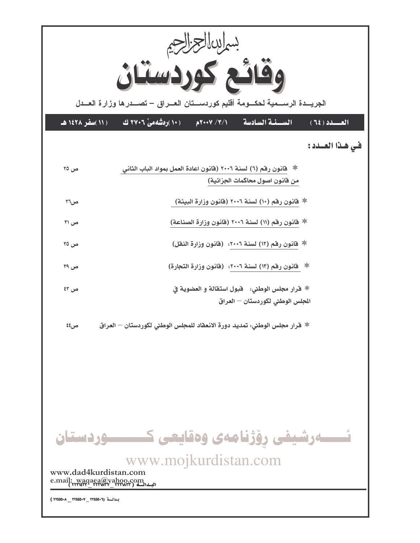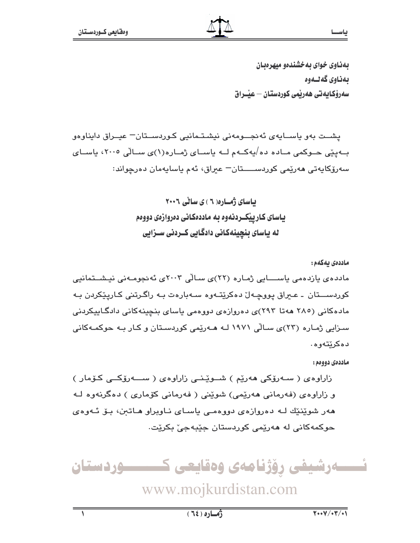بهذاوي خواي به خشندهو مبهر وبيان بەناوى گەنسەوە سەرۆكايەتى ھەربمى كوردستان — عيىراق

يشت بهو پاســايهي ئهنجــومهني نيشـتـمانيي كـوردســتان= عيــراق دايناوهو بــهپێی حــوکمی مــاده ده/یهکــهم لــه یاســای ژمــاره(۱)ی ســالّی ۲۰۰۵، یاســای سەرۆكايەتى ھەرێمى كوردســــتان− عبراق، ئەم ياسايەمان دەرچواند:

> باسای ژمباره ( ۲ ) ی سالی ۲۰۰۶ ياسای کاريێکــردنهوه به ماددهکانی دهروازهی دووهم له یاسای بنچینهکانی دادگایی کــردنی ســزایی

ماددەى يەكەم: ماددەي يازدەمى ياســــايى ژمـارە (٢٢)ى سـالى ٢٠٠٣ى ئەنجومـەنى نيـشــتمانيى کوردســـتان ـ عـيراق پووچـهاێ دهکرێتـهوه سـهبارهت بـه راگـرتنى کـاريـێکردن بـه مادهکانی (۲۸۰ ههتا ۲۹۳)ی دهروازهی دووهمی باسای بنچینهکانی دادگاپیکردنی سـزایی ژمـاره (۲۳)ی سـالّی ۱۹۷۱ لـه هـهریّمی کوردسـتان و کـار بـه حوکمـهکانی دهکريتهوه.

ماددەي دوومم:

زاراوەي ( سەرۆكى ھەرپم ) شىوپىنى زاراوەي ( سىمەرۆكىي كۆمار ) و زاراوهی (فهرمانی ههریمی) شوینی ( فهرمانی کوْماری ) دهگرنهوه لـه هەر شوێنێك لـه دەروازەي دووەمـى ياسـاى نـاويراو هـاتىن، بـۆ ئـەوەي حوکمهکاني له ههريمي کوردستان جێبهجيٚ بکريت.

![](_page_2_Picture_8.jpeg)

www.mojkurdistan.com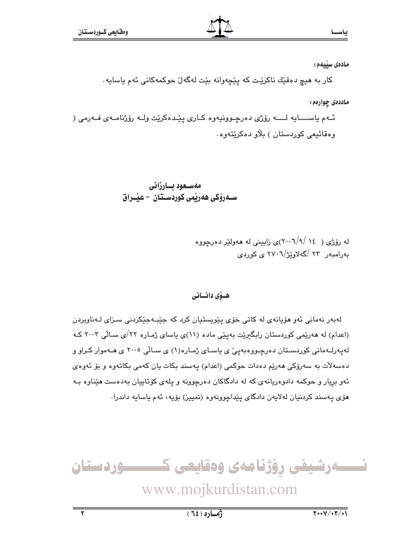مادەى سێيەم:

كار به هيچ دەقێك ناكرێت كه يێڇەوانه بێت لەگەل حوكمەكانى ئەم ياسايە.

ماددهی چوارهم:

ئـهم ياســــايه لـــــه رۆژى دەرچـوونيهوه كـارى يێدەكرێت وك رۆژنامــهى فــهرمى ( وهقائيعي کورڊستان ) بلاو دهکريٽهوه.

> مەسىعود بسارزانى ســەرۆكى ھەريمى كوردســتان – عيْــراق

> > له رۆژی ( ١٤ /٢٠٠٦) (٢٠٠٦) زابينې له ههولتر ده رجووه بەرامبەر ۲۳ /گەلاوێژ/۲۷۰٦ ى كوردى

### هسوّی دانسانی

لەبەر نەمانى ئەو ھۆيانەي لە كاتى خۆي يێويستيان كرد كە جێبەجێكردنى سىزاى لـەناوبردن (اعدام) له هەرێمی کوردستان رابگیرێت بەپێی ماده (۱۱)ی یاسای ژمـاره ۲۲/ی سـالّی ۲۰۰۳ کـه لەپەرلـﻪمانى كوردسـتان دەرچـﻮﻭﻩﺑﻪﭘﻰّ ﻯ ﻳﺎﺳـﺎﻯ ﮊﻣـﺎﺭﻩ(١) ﻯ ﺳـﺎﻟﻰ ٢٠٠٥ ﻯ ﻫـﻪﻣﻮﺍﺭ ﻛـﺮﺍﻭ ﻭ دەسەلات بە سەرۆكى ھەرپە دەدات حوكمى (اعدام) پەسند بكات يان كەمى بكاتەوە و بۆ ئەوەي ئهو بریار و حوکمه دادوهریانهی که له دادگاکان دهرچوونه و یلهی کۆتاپیان بهدهست هێناوه بـه هۆي پهسند كردنيان لهلايەن دادگاي يێداچوونهوه (تمييز) بۆيە، ئەم ياسايە داندرا.

![](_page_3_Picture_11.jpeg)

www.mojkurdistan.com

 $\overline{\textbf{v}}$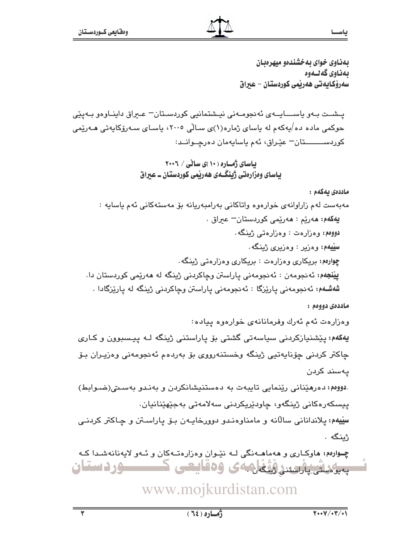بهذاوي خواي به خشندهو ميهرهبان بەناوي گەلىەوە سەرۆكايەتى ھەريمى كوردستان – عيراق

يـشــت بـهو ياســــايــهى ئەنجومــەنى نيـشتمانيى كوردسـتان= عــراق داينــاوەو بــەيێى حوکمی ماده ده/یهکهم له یاسای ژماره(۱)ی سـالّی ۲۰۰۵، یاسـای سـهرۆکایهتی هـهرێمی کوردســـــــتان- عێراق، ئهم ياسايهمان دەرچــوانــد:

ماددەى يەكەم :

ياس

ماددەي دووەم :

وهزارهت ئهم ئهرك وفرمانانهى خوارهوه يياده:

**یهکهم:** پێشنیازکردنی سیاسهتی گشتی بۆ پاراستنی ژینگه لـه پیسبوون و کـاری چاكتر كردني چۆناپەتيي ژينگە وخستنەرووي بۆ بەردەم ئەنجومەنى وەزيران بىۆ يەسند كردن

.دووهم: دەرھێنانى رێنمايى تايبەت بە دەستنيشانكردن و بەنىدو بەسىتى(ضىوابط) ييسكەرەكانى ژينگەو، چاودێريكردنى سەلامەتى بەجێھێنانيان. سِیْیهم: پلاندانانی سالاَنه و مامناوهندو دوورخایـهن بـوّ پاراسـتن و چـاکتر کردنـی ژىنگە .

چوارهم: هاوکاری و ههماهـهنگی لـه نێوان وهزارهتـهکان و ئـهو لايهنانهشـدا کـه بەيۇرىقى پارسىندۈنگەن. 54 ك ۋەقايىسى ك **- ۱۶ د ستان** 

## www.mojkurdistan.com

 $\overline{\textbf{r}}$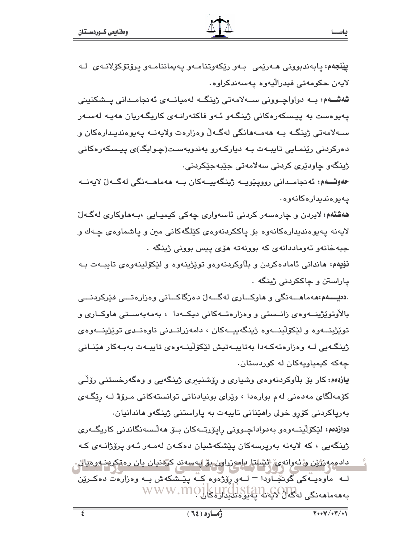**يَيْنْجُهُمْ:** يابەندبوونى ھـﻪرێمى بـﻪو رێِكەوتنامـﻪو يـﻪيماننامـﻪو يرۆتۆكۆلانـﻪ*ى* لـﻪ لايەن حكومەتى فيدراليەوە يەسەندكراوە.

شەشــەم: بــه دواواچــوونى ســـەلامەتى ژينگــه لەميانــەي ئەنجامــدانى يــشكنينى يەيوەست بە ييسكەرەكانى ژينگەو ئـەو فاكتەرانـەي كاريگـەريان ھەيـە لەسـەر سـهلامهتي ژينگـه بـه ههمـههانگي لهگـهڵ وهزارهت ولايهنـه پهيوهنديـدارهكان و دەركردنى رێنمـايى تايبـەت بـە دياركـەرو بەندوبەسـت(چـوابگ)ى پيـسكەرەكانى ژينگەو چاودێرى كردنى سەلامەتى جێبەجێكردنى٠

حەوتــــەم: ئەنجامــدانى روويێوپـــە ژينگەپپـــەكان بـــە ھەماھـــەنگى لەگــەلْ لايەنـــە يەيوەندىدارەكانەوە .

ه**هشتهم:** لابردن و چارەسەر كردنى ئاسەوارى چەكى كېمپـابى ،بـەھاوكارى لەگـەلّ لايەنە يەيوەندىدارەكانەوە بۆ ياككردنەوەي كێلگەكانى مىن و ياشماوەي چـەك و جبهخانهو ئەوماددانەي كە بوونەتە ھۆي پيس بوونى ژينگە .

نۆيەم: ماندانى ئامادەكردن و بلّاوكردنەوەو توپژينەوە و لێكۆلينەوەي تاببـەت بـە پاراستن و چاککردنی ژینگه ۰

.دهیــــهم:ههماهــــهنگی و هاوکـــاری لهگـــهلّ دهزگاکـــانی وهزارهتـــی فێرکردنـــی بالأوتوێژینــهوهی زانــستی و وهزارهتــهکانی دیکــهدا ، بهمهبهســتی هاوکــاری و توێژینــهوه و لێکۆڵینــهوه ژینگهییــهکان ، دامهزرانــدنی ناوهنــدی توێژینــهوهی ژینگەبی لـه وەزارەتەكـەدا بەتاببـەتیش لێكۆلێنـەوەي تاببـەت بەبـەكار ھێنـانى چەكە كېمپاويەكان لە كوردستان.

یازدهم: کار بۆ بلاوکردنهوهی وشیاری و رۆشنبیری ژینگهیی و وهگهرخستنی رۆلـّی کۆمەلگای مەدەنى لەم بوارەدا ، وێرای بونيادنانى توانستەکانى مىرۆۋ لـە رێگـەی بەرياكردنى كۆرو خولى راھێنانى تايبەت بە ياراستنى ژينگەو ھاندانيان. دوازدهم: لێکۆڵينــهوهو بهدواداچـووني راپۆرتــهکان بـۆ ھەڵـسەنگاندنى کاريگــهوى ژینگەیی ، کە لایەنە بەرپرسەكان یێشکەشیان دەكەن لەمـەر ئـەو پرۆژانـەی كـە

داد مودرژين و ئەوانەي ئېشلتا براموزراون بۆ لپەسەند كردنيان يان رەقكرېنبەرەيال. لــه ۖ ماوهيــهکي گونجّــاودا – لــهو رِوْژهوه کــه پێــشکهش بــه وهزارهت دهکــرێن بەھەماھەنگى لەكەل لايەنە يەلىلى كىلى WWW.MOIKUTCIST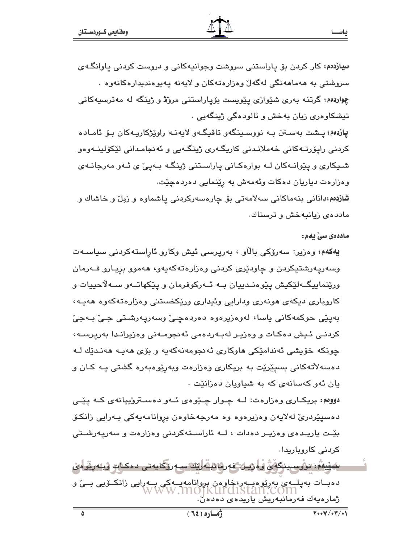س**یازدهم:** کار کردن بۆ یاراستنی سروشت وجوانیهکانی و دروست کردنی یاوانگـهی سروشتي به ههماههنگي لهگهلٌ وهزارهتهکان و لايهنه پهيوهنديدارهکانهوه ٠ چواردهم: گرتنه بهري شێوازي پێويست بۆياراستني مرۆۋ و ژينگه له مەترسىيەكانى تیشکاوهری زیان بهخش و ئالودهگی ژینگهیی .

يازدهم: پيشت بهستن بـه نووسينگهو تاقيگـهو لايهنـه راوێژكاريـهكان بـۆ ئامـاده کردنی رايۆرتـﻪکانی خەملانـدنی کاريگـﻪری ژينگـﻪيی و ئەنجامـدانی لێکۆلينـﻪوەو شـیـکاری و پێوانـﻪکان لـﻪ بوارهکـانی پاراسـتنی ژینگـﻪ بـﻪپی ٔی ئـﻪو مەرجانـﻪی وهزارهت دياريان دهكات وئهمهش به ريشمايي دهردهچيت.

شازدهم:دانانی بنهماکانی سهلامهتی بۆ چارەسەرکردنی پاشماوه و زبل و خاشاك و ماددهى زيانبهخش و ترسناك.

ماددەى سى يەم:

يەكەم: وەزير: سەرۆكى بالاو ، بەريرسى ئيش وكارو ئاراستەكردنى سياسـەت وسەريەرشتيكردن و چاودێرى كردنى وەزارەتەكەپەو، ھەموو بريـارو فـﻪرمان ورێِنماییِگ+لێکیش یێوهنـدییان بـه ئـهرکوفرمان و یێکهاتـهو سـهلاّحییات و كاروباري ديكهي هونهري ودارايي وئيداري وريكخستني وهزارهتهكهوه ههيه، بەيٽى حوكمەكانى ياسا، لەرەزيرەرە دەردەچى، وسەرپەرشىتى جى بەجى کردنـی ئـیش دەکـات و وەزیـر لەبـەردەمی ئەنجومـەنى وەزیرانـدا بەریرسـە، چونکه خۆپشى ئەندامێکى ھاوكارى ئەنجومەنەكەپە و بۆي ھەپ ھەندێك لـە دهسهلأتهکاني بسيێرێِت به بريکاري وهزارهت ويهرێوهبهره گشتي پـه کـان و یان ئەو كەسانەي كە بە شىياويان دەزانێت .

دووم : بريکاري وهزارهت: لــه چــوار چــێوهي ئــهو دهســتروييانهي کــه يێــي دەسپێردرێ لەلاپەن وەزیرەوە وە مەرجەخاوەن بروانامەپەكى بـەراپى زانكۆ بێت یاریـدهی وهزیـر دهدات ، لــه ناراسـتهکردنی وهزارهت و سهریهرشـتی كردنى كاروباريدا.

<u>سىنىيەم، نووسىينىگەن ۋەرىيان قەرھانىڭ لەك سىمرۆكايەتى دەكلەت ۋېئەرتومان</u> دەبــات بەيلــە*ى* بەرێوەبــەر،خاوەن بروانامەيــەك*ى* بــەرايى زانكــۆيى بــىْ و<br>WWW.MOIKUI'd1Stan.COM ژمارەيەك فەرمانبەريش ياريدەى دەدەن .

 $\overline{\wedge}$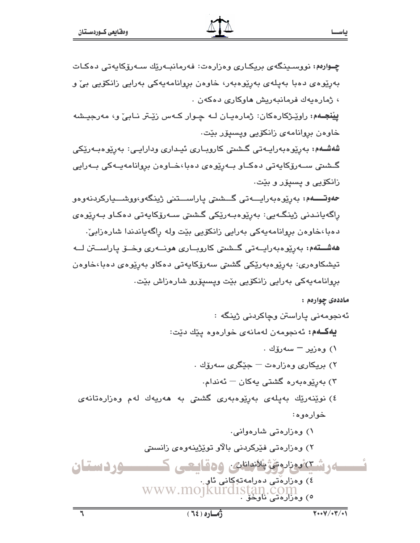| ، ژمارەيەك فرمانبەريش <mark>م</mark> اوكارى دەكەن .                                           |
|-----------------------------------------------------------------------------------------------|
| <b>پِيْنجــهم:</b> راوێـِژکارەکان: ژمارەيـان لــه چـوار کــهس زێـتر نــابیٚ و، مەرجيـشه       |
| خاوەن بړوانامەي زانكۆيى وپسپۆر بێت.                                                           |
| شەشـەم: بەرپوەبەرايـەتى گـشىتى كاروبـارى ئيـدارى ودارايـى: بەرپوەبـەرێكى                      |
| گـشتی ســهرۆکايەتی دەکــاو بــەرِێوەی دەبا،خــاوەن بروانامەيــەکی بــەرايی                    |
| زانکۆيى و پسپۆر و بێت.                                                                        |
| <b>حەوتـــــەم</b> : بەرپوەبەرايــــەتى گـــشىتى پاراســــتنى ژينگەو،ووشــــياركردنەوەو       |
| رِاگەيانـدنى ژينگـەيى: بەرِێوەبـەرێکى گـشتى سـەرۆکايەتى دەکـاو بـەرِێوەى                      |
| دەبا،خاوەن بړوانامەيەكى بەرايى زانكۆيى بێت ولە ڕاگەياندندا شارەزابىٚ.                         |
| <b>هەشـــتەم:</b> بەرێوەبەرايــەتى گــشىتى كاروبــارى <b>م</b> ونــەرى وخــۆ پاراســـتن لـــە |
| تیشکاوەری: بەرێوەبەرێکی گشتی سەرۆکایەتی دەکاو بەرێوەی دەبا،خاوەن                              |
| بروانامەيەكى بەرايى زانكۆيى بێت وپسىپۆرو شارەزاش بێت.                                         |
| مادددی چواردم :                                                                               |
| ئەنجومەنى پاراستن وچاكردنى ژينگە :                                                            |
| <b>يەكـﻪم:</b> ئەنجومەن لەمانەى خوارەوە پێك دێت:                                              |
| ۱) وەزير – سەرۆك .                                                                            |
| ۲) بریکاری وهزارهت <sup>—</sup> جێِگری سهرۆك .                                                |
| ۳) بەرپوەبەرە گشتى يەكان <sup>—</sup> ئەندام.                                                 |
| ٤) نوێنەرێك بەيلەى بەرێوەبەرى گشتى بە ھەريەك لەم وەزارەتانەى                                  |
| خوارەوە:                                                                                      |
| ۱) وەزارەتى شارەوانى.                                                                         |
| ۲) وەزارەتى فێركردنى بالاو توێژپنەوەى زانسىتى                                                 |
| <u>4رشتەنوراروتۇئانونان، ۋەقايىتى ك</u>                                                       |
| <b>عردستان</b><br>٤) وەزارەتى دەرامەتەكانى ئاو                                                |
| www.mojkurdistan.com                                                                          |
|                                                                                               |
| $\sqrt{1.40}$<br>زماره (٢٤)                                                                   |

چـوارەم: نووسـینگەی بریکـاری وەزارەت: فەرمانبـەرێك سـەرۆكايەتى دەكـات

بەرپيوەى دەبا بەپلەي بەرپيوەبەر، خاوەن بروانامەيەكى بەرايى زانكۆيى بىّ و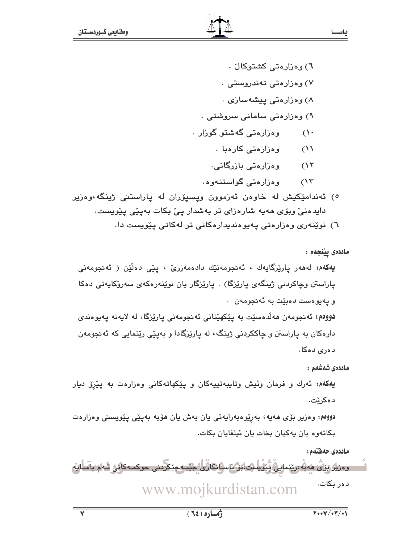٦) وەزارەتى كشتوكالْ . ۷) وهزارهتی تهندروستی . ۸) وهزارهتی پیشهسازی . ۹) وەزارەتى سامانى سروشتى . وەزارەتى گەشتو گوزار .  $\bigwedge$ 

- ٬۱۱ وهزارهتی کارهبا .
- وەزارەتى بازرگانى.  $(15)$
- وهزارهتی گواستنهوه٠  $(\lambda^{\star})$
- ٥) ئەندامێکیش لە خاوەن ئەزموون ویسىۆران لە ياراستنى ژینگە،وەزیر دایدەنیؒ ویۆی مەیە شارەزای تر بەشدار ییؒ بکات بەیێی یێویست٠

٦) نوێنەرى وەزارەتى پەيوەندىدارەكانى تر لەكاتى پێويست دا.

ماددەى يېنجەم :

ياسحا

**يەكەم:** لەھەر يارێزگايەك ، ئەنجومەنێك دادەمەزرێ ، يێی دەڵێن ( ئەنجومەنی پاراستن وچاکردنی ژینگەی پارێزگا) . پارێزگار پان نوێنەرەکەی سەرۆکاپەتی دەکا و پەيوەست دەبيت بە ئەنجومەن .

دوومم: ئەنجومەن ھەلدەسىيت بە يێكھێنانى ئەنجومەنى يارێزگا، لە لايەنە يەيوەندى دارهکان به یاراستن و چاککردنی ژینگه، له یاریزگادا و بهپیّی ریّنمایی که ئهنجومهن دەرى دەكا.

ماددەى شەشەم :

یهکهم: ئەرك و فرمان وئیش وتایبەتییەکان و ییکهاتەکانی وەزارەت بە ییرق دیار دەكرێت.

دووم،: وەزیر بۆی ھەيە، بەرپوەبەرايەتى يان بەش يان ھۆبە بەپێى پێويسىتى وەزارەت بکاتەوە يان پەکپان بخات يان ئېلغايان بکات.

ماددەى حەفتەم:

<u>وەزىر بۆق ھەيەرىندايى تْتۈيلىت بۆكاسانى لىك جىبەجتىرىنى جوكمەكلىر شەم ياسايە</u> دەر بكات. www.mojkurdistan.com

 $\overline{\mathsf{v}}$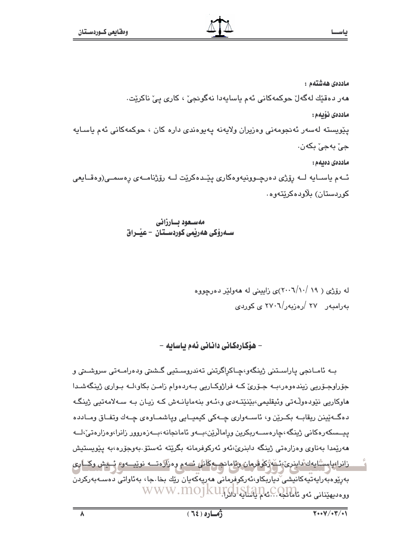ماددەى ھەشتەم : ھەر دەقێك لەگەلٚ حوكمەكانى ئەم ياسايەدا نەگونجىٚ ، كارى يىٚ ناكرێت٠ ماددەى نۆيەم: يێويسته لەسەر ئەنجومەنى وەزيران ولايەنە يەيوەندى دارە كان ، حوكمەكانى ئەم ياسـايە جيٰ ٻهجيٰ پکهن. ماددەى دەيەم : ئــهم ياســايه لــه رۆژى دەرچــوونيەوەكارى يێــدەكرێت لــه رۆژنامــهى رەسمــى(وەقــايعى کوردستان) پلاودهکرېټهوه٠

مەسىعود بسارزانى ســهروْکی ههریمی کوردســتـان – عیـْــراق

له رۆژی ( ۱۹ /۰۰\(۲۰۰۲)ی زابینی له ههولِٽر دهرجووه مەرامىيەر ۲۷ /رەزبەر/۲۷۰٦ ى كوردى

– ھۆكارەكانى دانانى ئەم ىاساىە –

بــه ئامـانجي ڀاراسـتني ژينگهو،ڇـاکراگرتني تهندروسـتيي گـشتي ودهرامــهتي سروشــتي و جۆراوجىۆريى زيندەوەر،بــه جـۆرى كــه فراژوكــاريى بــهردەوام زامــن بكاو،كــه بـوارى ژينگەشــدا هاوکاریی نێودهوڵەتی وئیقلیمی،بێنێتەدی و،ئەو بنەمایانەش کە زیان بە سەلامەتیی ژینگە دهگ+ٽينن ريقاب+ بکـرێن و، ئاســهواري ڇــهکي کيميــايي وياشمــاوهي ڇــهك وتفـاق ومــادده ييــسكەرەكانى ژينگە،چارەســەربكرين ورامالرين،بــەو ئامانجانە،بــەزەروور زانرا،وەزارەتى،لــە ھەرێمدا بەناوى وەزارەتى ژىنگە دابنرى،ْ،ئەو ئەركوفرمانە بگرێتە ئەستۆ.بەوجۆرە،بە پێويستيش زانرا،پاسٽايەك ْداينرى،ئەڭ رۇلمان رئامانچىمۇڭانلى ئىمم وەزارەتــە نوييــەر، ئىيش وڭــا*وى* بەرێۅەبەرايەتىيەكانىشى ّدياربكاو،ئەركوفرمانى ھەريەكەيان رێك بخا جا، بەئاواتى دەسـەبەركردن ووه ديهينانى ئەو ئامانجا ... كىلم ياسايە لوك WWW.MOJKUIGLI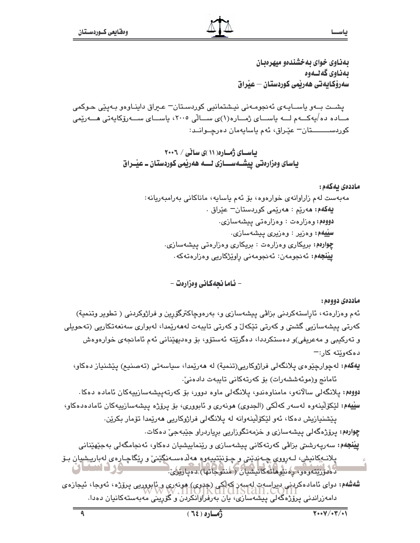بهذاوي خواي به خشندهو ميهرهبان بەناوى كەلىەوە سەرۆكايەتى ھەربمى كوردستان – عبراق

يشـت بــهو پاســايـهى ئهنجومـهنى نيـشتمانيى كوردسـتان= عـبراق داينـاوهو بـهيێى حـوكمى مــاده ده/يەكـــەم لـــە ياســـاي ژمــاره(۱)ي ســالّي ۲۰۰۵، ياســاي ســـەرۆكايەتى هـــەرێمى كوردســـــــتان – عێراق، ئهم ياسايهمان دەرچــوانــد:

> باسای ژماره (۱۱)ی سالی / ۲۰۰۶ یاسای وهزارهتی پیشــهســـازی لـــه ههریمی کوردستان ــ عیبراق

> > ماددەى بەكەم : مەبەست لەم زاراوانەي خوارەوە، بۆ ئەم ياسايە، ماناكانى بەرامبەريانە: ي**ەكەم: م**ەرێم : ھەرێمى كوردستان<sup>—</sup> عێراق . دووم : وهزارهت : وهزارهتي پيشهسازي. **سييهم: وەزير : وەزيرى ييشەسازى.** چوارهم: بریکاری وهزارهت : بریکاری وهزارهتی پیشهسازی. **ييْنجەم:** ئەنجومەن: ئەنجومەنى راوێژكارىي وەزارەتەكە .

> > > – ئـاما نجەكـانى وەزارەت –

ماددەي دووەم:

ئهم وهزارهته، ئاراستهکردنی بزاڤی پیشهسازی و، بهرهوچاکترگۆرین و فراژوکردنی ( تطویر وتنمیة) کەرتى پیشەسازیى گشتى و کەرتى تێکەل و کەرتى تايبەت لەھەرێمدا، لەبوارى سەنعەتکاریى (تەحويلى و تەركىبى و مەعرىفى)و دەستكرددا، دەگرێتە ئەستۆو، بۆ وەدىھێنانى ئەم ئامانجەي خوارەوەش ده کهوێته کار:—

يهكهم: لهجوارجِيْوهي پلانگهلي فراژوكاريي(تنمية) له ههريْمدا، سياسهتي (تهصنيم) پيّشنياز دهكاو، ئامانج و(موئەششەرات) بۆ كەرتەكانى تايبەت دادەنى،

دووەم: يلانگەلى سالانەو، مامناوەندو، يلانگەلى ماوە دوور، بۆ كەرتەپيشەسازىيەكان ئامادە دەكا. **سِیْیهم:** لَیْکوْلَیْنەوە لەسەر کەلْکی (الجدوی) ھونەری و ئابووری، بۆ یرۆژە پیشەسازییەکان ئامادەدەکاو،

يێشنيازيش دەكا، ئەو لێكۆلێنەوانە لە يلانگەلى فراژوكاريى ھەرێمدا تۆمار بكرێن. چوارهم: يرۆژەگەلى ييشەسازى و خزمەتگوزاريى برياردراو جێبەجىٚ دەكات. **ييْنجەم:** سەرپەرشىتى بزاڤى كەرتەكانى پېشەسازى و رێنماييشيان دەكاو، ئەنجامگەلى بەجێھێنانى

پلانـهکانيش، لـهږووي چـهنديتي و چـۆنێتيپهوم ههلاهسـهنگێنئ و رێگاچـاړهي لهبارپېشيان بـۆ ULEMPIK) .<br>ده دورنتهو ووی دونتوها توکانیشیان ( منتوجاتها) بودبارتزی.

**شەشەم:** دوای ئامادەكردىي دېراسەت لەسبەر كەلكى (جەوی) ھونەری و ئابورريى پرۆژە، ئەوجا، ئيجارەی دامەزراندنى بىرَۆزەگەلى بىشەسازى، يان بەرقراۋانكردن و گۆرىنى مەبەستەكانيان دەدا.

 $\overline{\bullet}$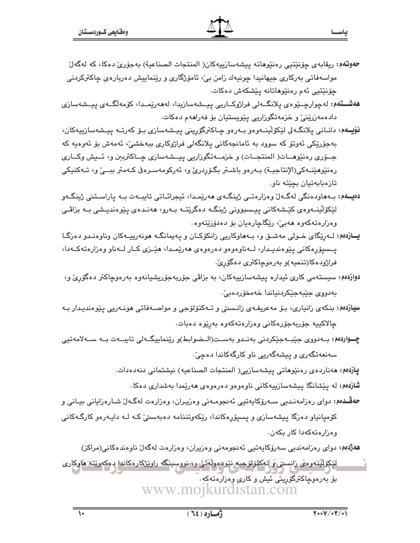- حەوتەم: ريقابەي چۆنێتىي رەنێوھاتە بېشەسازىيەكان( المنتجات الصناعية) بەجۆرى دەكا، كە لەگەلّ مواسەفاتی بەرکاری جیھانیدا چونیەك زامن بیؒ، ئامۆژگاری و رێنماییش دەربارەی چاکترکردنی چۆنێتيى ئەم رەنێوھاتانە يێشكەش دەكات.
- **هەشـــتەم:** لەچوارچــێوەي يلانگــەلى فراژوكــاريى ييــشەسازيدا، لەھەرێمــدا، كۆمەلگــەي ييــشەسازى دادەمەزرينىؒ و خزمەتگوزاريى يێويستيان بۆ فەراھەم دەكات.
- **نۆيــەم:** دانــاني پلانگــەلى لێکۆلێينــەوەو بــەرەو چــاکترگۆرينى پيــشەسازى بـۆ كەرتــە پيــشەسازييەكان، بەجۆرپکى ئەوتۆ كە سوود بە ئامانجەكانى يلانگەلى فراژوكارى بېەخشى، ئەمەش بۆ ئەوەبە كە جــۆرى رەنێوھــات( المنتجــات) و خزمـــەتگوزاريى پيــشەسازى چــاكترببن و، ئــيش وكــارى رەنێوھێنـﻪكى(الإنتاجيـﺔ) بـﻪرەو باشـتر بگـۆربرىّ و، ئەركومەسـرەڧى كـﻪمتر ببــێ و، تـﻪكنيكى تازەبابەتيان بچێتە ناو.
- دەيسەم: بىەھاودەنگى لەگبەل وەزارەتنى ژينگبەي ھەرپمىدا، ئېجرائناتى تايبيەت بيە ياراسىتنى ژينگبەو لێػۆڵێڶٷەى كێشەكانى پيىسبوونى ژىنگە دەگرێتـﻪ بـﻪرو، ھەنـدەى پێوەنديـشى بـﻪ بزاڤـى وەزارەتەكەوە ھەبى، ريگاچارەيان بۆ دەدۆزيتەوە.
- يازدهم: لـهرنگای خـولی مهشــق و، بـههاوکاریی زانکۆکــان و پهیمانگــه هونهرییــهکان وناوهنـدو دهزگـا يـسيۆرەكانى يێوەنديـدار، لــەناوەوەو دەرەوەي ھەرێمـدا، ھێــزى كــار لــەناو وەزارەتەكــەدا، فراژودهکا(تنمیه)و بەرەوچاکترى دەگۆرىّ.
- **دوازدهم:** سیستهمی کاری ئیداره پیشهسازییهکان، به بزاقی جۆربهجۆریشیانهوه بهرهوچاکتر دهگۆری و، بەدووى جێبەجێكردنياندا خەمخۆردەبى،
- **سیارْدهم:** بنکهی زانیاری، بـۆ مەعریفـەی زانـستی و تـﻪکنۆلۆجی و مواصـﻪفاتی هونـﻪریی یێوەندیـدار بـﻪ چالاکييه جۆربەجۆرەكانى وەزارەتەكەوە بەرێوە دەبات.
- چــواردهم: بــهدووی جێبــهجێکردنی بهنــدو بهســت(الــضوابط)و رێنماییگــهلی تایبــهت بــه ســهلامهتیی سەنعەتگەرى و پېشەگەرىي ناو كارگەكاندا دەچى،

يازدهم: مەناردەي رەنێوماتى ييشەسازيى( المنتجات الصناعيه) نيشتمانى دنەدەدات.

شازدهم: له پێشانگا پیشەسازییەکانی ناوەوەو دەرەوەی ھەرێمدا بەشداری دەکا.

حهڤــدمم: دواي رەزامەنـدىي ســەرۆكايەتيى ئەنجومــەنى وەزيـران، وەزارەت لەگـەلّ شــارەزايانى بيــانى و کۆمپانياو دەزگا پيشەسازى و پسېۆرەكاندا، رێکەوتننامە دەبەستىٚ کـه لـه دايـەرەو کارگـەکانى وهزارهته كهدا كار يكهن.

**شەژدەم:** دوای رەزامەندىيى سەرۆكايەتىيى ئەنجومەنى وەزيران، وەزارەت لەگەل ناوەندەكانى(مراكز)

لێػۆڵؾٚڹٶڡٯٞٛۦۯٳڹسټؽؘۅٚۦٚؾ؋ػڶۅٚڸڒڿۑهۦٮێۅ٥ۄۅڵ؋ؾ۠ڸۥۅۦ؈۬ڔڛڹڲٷۦڔٳۅێڗ۬ػٳڔۄڬٳٮ۬ۊٳۦڋۄػٷۑێؾ؋۫ۿٳۅڮٳڔؠ بۆ بەرەوچاكترگۆرينى ئىش و كارى وەزارەتەكە . www.moikurdistan.com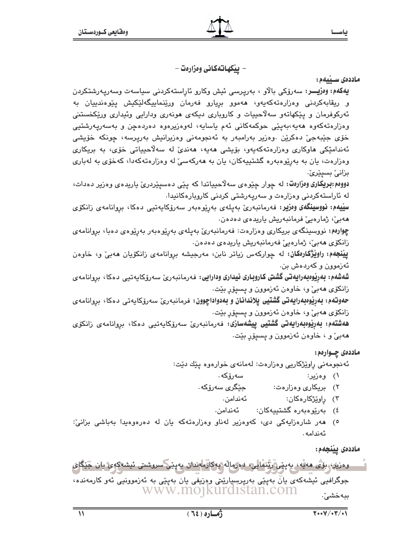ياسحا

– ييْكهاتەكانى وەزارەت –

ماددەى سىيىلەم:

**يەكەم: وەزپـــر:** سەرۆكى بالاو ، بەرپرسى ئيش وكارو ئاراستەكردنى سىياسەت وسەرپەرشتكردن و ريقابهکردنی وهزارهتهکهيهو، ههموو بريارو فهرمان ورێنماييگهلێکيش پێوهندييان به ئەركوفرمان و پێكھاتەو سەلاّحييات و كاروبارى ديكەي ھونەرى ودارايى وئيدارى ورێكخستنى وەزارەتەكەوە ھەپە،بەيێى حوكمەكانى ئەم ياسايە، لەرەزيرەوە دەردەچن و بەسەريەرشتيى خۆی جێبەجىٚ دەكرێن .وەزیر بەرامبەر بە ئەنجومەنى وەزیرانیش بەرپرسە، چونكە خۆیشى ئەندامێکی ھاوکاری وەزارەتەکەپەو، بۆیشی ھەپە، ھەندیٚ لە سەلاّحییاتی خۆی، بە بریکاری وهزارهت، یان به بهرێوهبهره گشتیپهکان، یان به ههرکهسیٚ له وهزارهتهکهدا، کهخۆی به لهباری بزانیٚ بسپێریٚ.

دوومم:بریکاری ومزارهت: له چوار چێوهی سهلاحییاتدا که پێی دهسپێردریّ یاریدهی وهزیر دهدات، له ئاراستەكردنى وەزارەت و سەريەرشتى كردنى كاروپارەكانيدا.

سليهم: نووسینگەی وەزیر: فەرمانبەری بەيلەی بەرپومبەر سەرۆكاپەتىپى دەكا، بروانامەي زانكۆي هەبى، ژمارەيى فرمانبەريش ياريدەي دەدەن.

چوارەم: نووسىينگەى بريكارى وەزارەت: فەرمانبەرىٰ بەپلەى بەرپوەبەر بەرپوەى دەبا، بروانامەى زانكۆي ھەبى، ژمارەيى فەرمانبەريش ياريدەي دەدەن.

**ییّنجهم: راویّژگارهکان:** له چوارکهس زیاتر نابن، مهرجیشه بروانامهی زانکوّیان ههبیّ و، خاوهن ئەزموون و كەردەش بن.

شەشەم: بەرپوەبەرايەتى گشتى كاروبارى ئيدارى ودارايى: فەرمانبەرىّ سەرۆكايەتيى دەكا، بروانامەي زانکۆی هەبیؒ و، خاوەن ئەزموون و يسىيۆر بێت.

ح**ەوتەم: بەرپوەبەرايەتى گشتيى پلاندانان و بەدواداچوون:** فرمانبەرىّ سەرۆكاپەتى دەكا، بروانامەي زانکۆي ھەبىؒ و، خاوەن ئەزموون و پسىپۆر بێت.

**ھەشتەم: بەريوەبەرايەتى گشتيى ييشەسازى:** فەرمانبەرىّ سەرۆكاپەتيى دەكا، بروانامەي زانكۆي ههبيؒ و ، خاوهن ئەزموون و يسيۆر بێت.

ماددهۍ چــوارهم:

ئەنجومەنى راوێژكاريى وەزارەت: لەمانەي خوارەوە يێك دێت:

- سەرۆكە . ۱) وەزىر:
- جێگری سەرۆكە٠ ۲) بریکاری وهزارهت:
	- ئەندامن. ۲) راوێ<del>ژ</del>کارهکان:
	- ٤) بەرپرەبەرە گشتىيەكان: ئەندامن.
- ٥) هەر شارەزايەكى دى، كەوەزير لەناو وەزارەتەكە يان لە دەرەوەيدا بەباشى بزانىؒ: ئەندامە.

ماددەى يېنجەم:

وەزيك بۆتى مەيە، بەينى ريْنمالى، دەرمالە بەكارماندان بەينى سروشتى ئىشەكەئ يان جْيْگاى جوگرافیی ئیشەکەی یانٌ بەپێی بەرپرسیارێتی وەزیفی یان بەپێی بە ئەزموونیی ئەو کارمەندە، www.mojkurdistan.com ببەخشى".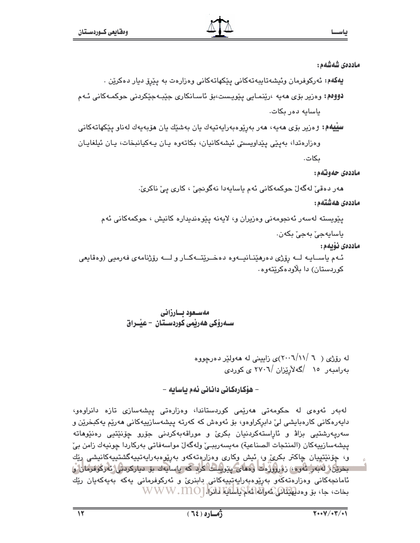### ماددەى شەشەھ :

**يەكەم:** ئەركوفرمان وئيشەتايبەتەكانى پێكھاتەكانى وەزارەت بە پێرۆ ديار دەكرێن .

دووم : وەزير بۆي مەيە ،رێنمـايي يێويـست،بۆ ئاسـانكاري جێبـەجێكردنى حوكمـەكانى ئـەم باسابه دەر بكات.

**سييهم:** وەزير بۆی مەيە، مەر بەرێوەبەرايەتيەك يان بەشێك يان مۆبەيەك لەناو يێكھاتەكانى وەزارەتدا، بەيێى يێداويستى ئيشەكانيان، بكاتەوە يـان پـەكيانبخات، يـان ئيلغايـان ىكات.

ماددەي حەوتەم:

هەر دەقىٚ لەگەلٚ حوكمەكانى ئەم ياسايەدا نەگونجىٚ ، كارى يىْ ناكرىٰ.

ماددەى ھەشتەم:

پێویسته لهسهر ئهنجومهنی وهزیران و، لایهنه پێوهندیداره کانیش ، حوکمهکانی ئهم

ياسايەجىٰ بەجىٰ بكەن.

ماددەى نۆىمە:

ئـهم ياســايـه لــه رۆژى دەرەێنـانيــهوه دەخــرێتــهكــار و لـــه رۆژنامهى فهرميى (وەقايعى کوردستان) دا پلاودهکریتهوه۰

### مەسىغود ئسارزانى ســەرۆكى ھەربمى كوردسـتان – عيْــراق

له رۆژى (  $\sqrt{(1-\gamma/10)^2}$ ى زايينى له هەولێر دەرچووە بەرامبەر ١٥ /گەلأرێزان /٢٧٠٦ ي كوردي

### – ھۆكارەكانى دانانى ئەم ياسايە –

لەبەر ئەوەي لە حكومەتى ھەرپمى كوردستاندا، وەزارەتى پيشەسازى تازە دانراوەو، دايەرەكانى كارەبايشى لىْ دابرِكراوەو، بۆ ئەوەش كە كەرتە پيشەسازىيەكانى ھەرێم يەكبخرێن و سەريەرشتيى بزاۋ و ئاراستەكردنيان بكرىّ و موراقەبەكردنى جۆرو چۆنێتيى رەنێوھاتە ييشەسازييەكان (المنتجات الصناعية) مەيسەربېـێ ولەگەلٚ مواسەڧاتى بەركاردا چونيەك زامن بيْ و، چۆنێتييان چاكتر بكرې، ر، ئيش وكارى وەزارەتەكەو بەرێوەبەرايەتىيەگشتىيەكانىشى رێك بخرین، لەبەر ئەرە» زەروزرەت رەماي يیرىست كرد كە ياسايەك بۆ دياركردنى ئەرگوفرمان ق ئامانجەكانى وەزارەتەڭەر بەرێوەبەراپەتپىيەكانى دابنرىؒ و ئەركوفرمانى يەكە بەيەكەيان رێك بخات، جا، بِق وەدلِهَيْتَانْ عُمُوانَاه اَعْلَى اِسْلَانِیَّا اَدَانَاً.[ WWW.MO]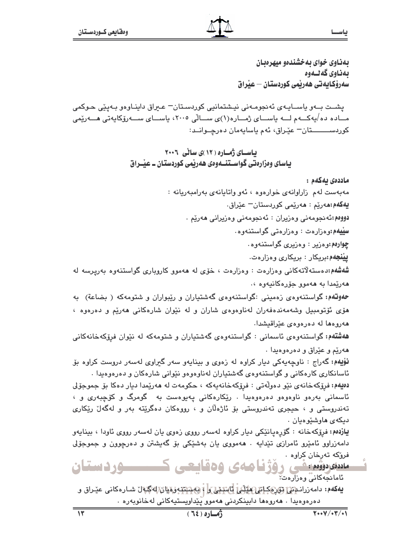ياســا

بهذاوي خواي به خشندهو ميهرهبان بەناوي گەلىەوە سەرۆكايەتى ھەربمى كوردستان – عبراق

يشت بــهو پاســايـهى ئهنجومـهنى نيـشتمانيى كوردسـتان= عـيراق داينـاوهو بـهيێى حـوكمى مــاده ده/يەكـــەم لـــە ياســـاي ژمـــاره(١)ي ســـالّي ٢٠٠٥، ياســـاي ســـەرۆكايەتي هـــەرێمى کوردســــــــتان= عێـراق، ئهم پاسايهمان دەرچــوانــد:

> بیاستای ژهساره ( ۱۲ )ی سالی ۲۰۰۶ یاسای وهزارهتی گواسـتنــهوهی ههریمی کوردستان ــ عیّــراق

> > ماددەي بەكەم :

مەبەست لەم زاراوانەي خوارەوە ، ئەو واتايانەي بەرامبەريانە :

**يەكەم:م**ەرێم : ھەرێمى كوردستان<sup>ـــ</sup> عێراق.

دووم الله نجومه ني وهزيران : ئه نجومه ني وهزيراني ههريم .

سليهم:وهزارهت: وهزارهتي گواستنهوه.

چوارهم:وهزیر : وهزیری گواستنهوه.

**ييْنجەم:**بريكار : بريكار*ى* وەزارەت.

شهشهم:دهستهلاتهکانی وهزارهت : وهزارهت ، خوّی له ههموو کاروباری گواستنهوه بهریرسه له هەريمدا بە ھەموق جۆرەكانيەۋە ،.

حموقهم: گواستنهوهی زهمینی :گواستنهوهی گهشتیاران و ریبواران و شتومهکه ( بضاعة) به هۆی ئۆتومبیل وشەمەندەفەران لەناوەوەی شاران و لە نێوان شارەكانى ھەرێم و دەرەوە ، هەروەھا لە دەرەوەي عێراقيشدا.

ه**هشتهم:**گواستنهوهی ئاسمانی : گواستنهوهی گهشتیاران و شتومهکه له نێوان فرۆکهخانهکانی ههريم و عيّراق و دهرهوهيدا ٠

نوْيهم: گەراج : ناوچەپەكى ديار كراوه لە زەوى و بينايەو سەر گىراوى لەسەر دروست كراوه بۆ ئاسانکاري کارهکاني و گواستنهوهي گهشتياران لهناوهوهو نێواني شارهکان و دهرهوهيدا .

دهيهم: فرۆكەخانەي نێو دەولّەتى : فرۆكەخانەپەكە ، حكومەت لە ھەرپيمدا ديار دەكا بۆ جموجۆلى ئاسمانی بەرەو ناوەوەو دەرەوەيدا . رێکارەکانی پەيوەست بە گومرگ و کۆچبەرى و ، تهندروستي و ، حيجري تهندروستي بِوْ ئاژەلان و ، رووهکان دەگرێته بەر و لەگەل رێکاری ديكەي ھاوشێوەيان .

یازدهم: فرۆکەخانە : گۆرەپانێکى ديار کراوە لەسەر رووى زەوى يان لەسەر رووى ئاودا ، بينايەو دامهزراوو ئامێرو ئامرازی تێدایه . ههمووی یان بهشێکی بۆ گەیشتن و دەرچوون و جموجۆلی فرۆكە تەرخان كراوە .

متنفودوه يثنى رؤژنامەي وەقايچى كىسىسوردىستان ئامانجەكانى وەزارەت.

**يەكەم:** دامەزرانىمىن تۇرىكانلىھىلانى ئاشتىلى i بېشتتەرمىلىن لەگبەل شـارەكانى عيدراق و دەرەوەيدا . ھەروەھا دابينكردنى ھەمور پّێداويستيەكانى لەخانوبەرە .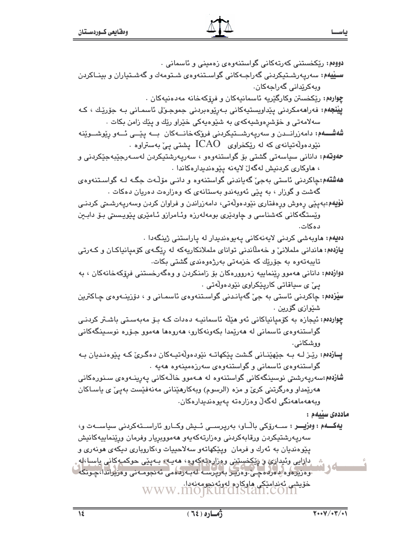| دوومم: رێِکخستنی کەرتەکانی گواستنەوەی زەمىنى و ئاسمانى .                                                                                           |
|----------------------------------------------------------------------------------------------------------------------------------------------------|
| <b>ســێيهم:</b> سهرپـهرشــتيکردنى گهراجــهکانى گواســتنهوهى شــتومهك و گهشــتياران و بينــاکردن                                                    |
| وبەكرێدانى گەراجەكان.                                                                                                                              |
| چِوارەم: رێکخستن وکارگێریه ئاسمانیەکان و فرِۆکەخانە مەدەنیەکان .                                                                                   |
| <b>پيْنْجَەم:</b> فەراھەمكردنى پێداويستيەكانى بـەرپوەبردنى جموجـورل ئاسمـانى بـە جۆرێـك ، كـە                                                      |
| سهلامهتی و خۆشرِهوشیهکهی به شێوهیهکی خێراو رێك و پێك زامن بكات .                                                                                   |
| <b>شەشــــەم:</b> دامەزرانـــدن و سەرپەرشـــتيكردنى فروكەخانـــەكان  بـــە پێـــى ئـــەو رێوشـــوێنە                                               |
| . نێودەوڵەتيانەى كە لە رێِكخراوى $\rm ICAO$ پشتى پىٚ بەستراوە                                                                                      |
| <b>حەوتەم:</b> دانانى سياسەتى گشتى بۆ گواستنەوەو ، سەرپەرشتيكردن لەسـەرجێبەجێكردنى و                                                               |
| ، ماوکاری کردنیش لهگهلّ لایهنه پێوهندیدارهکاندا .                                                                                                  |
| <b>هەشتەم:</b> چاکردنی ئاستی بەجیٚ گەياندنی گواستنەوە و دانـی مۆڵـەت جگـە لــە گواسـتنەوەی                                                         |
| گهشت و گوزار ، به پێی ئهوبهندو بهستانهی که وهزارهت دهریان دهکات .                                                                                  |
| <b>نۆيەم</b> :بەپێى رەوش ورەفتارى نێودەوڵەتى، دامەزراندن و فراوان كردن وسەرپەرشىتى كردنـى                                                          |
| وێِستگەکانی کەشناسی و چاودێری بومەلەرزە وئـامرازو ئـامێری پێویـسىتى بـۆ دابـێن                                                                     |
| دەكات.                                                                                                                                             |
| <b>دەيەم: م</b> اوبەشى كردنى لايەنەكانى پەيوەندىدار لە پاراستنى ژينگەدا .                                                                          |
| <b>یازدهم: م</b> اندانی ململانیّ و خهملاًندنی توانای ململانکاریهکه له رِپْگـهی کوْمیانیاکـان و کـهرتی                                              |
| تایبەتەوە بە جۆرێك كە خزمەتى بەرژەوەندى گشتى بكات.                                                                                                 |
| <b>دوازدهم:</b> دانانی ههموو رِپَنماییه زهروورهکان بۆ زامنکردن و وهگەرخستنی فرِۆکەخانەکان ، بە                                                     |
| پيّ ي سياقاتي کارپێکراوي نێودهوڵەتي .                                                                                                              |
| <b>سێزده</b> م: چاکردنی ئاستی به جیّ گەیانـدنی گواسـتنەوەی ئاسمـانی و ، دۆزینـەوەی چـاکترین                                                        |
| شێوازي گۆرين .                                                                                                                                     |
| چواردهم: ئیجازه به کۆمپانیاکانی ئەو ھێڵە ئاسمانیــه دەدات کــه بـۆ مەبەسـتى باشـتر کردنــی                                                         |
| گواستنەوەی ئاسمانی لە ھەرێمدا بکەونەکارو، ھەروەھا ھەموو جۆرە نوسىينگەکانى                                                                          |
| ووشكاني.                                                                                                                                           |
| <b>پــازده</b> م؛ رێـِـز لــه بــه جێهێنــانی گـشت پێکهاتــه نێودهوڵهتیــهکان دهگـر <i>یٰ</i> کـه پێوهنـدیان بــه                                  |
| گواستنەوەي ئاسمانى و گواستنەوەي سەرزەمىنەوە ھەيە .                                                                                                 |
| <b>شازده</b> م:سەرپەرشتى نوسىينگەكانى گواستنەوە لە ھـﻪموو خاڵەكانى پەرپىنـﻪوەى سىنورەكانى                                                          |
| هەرێمداو وەرگرتنى كرێ و مزە (الرسوم) وبەكارھێنانى مەنەڧێست بەپێ ی ياسـاكان                                                                         |
| وبەھەماھەنگى لەگەلْ وەزارەتە پەيوەندىدارەكان.                                                                                                      |
| ماددەى سىيەم :                                                                                                                                     |
| يەكـــەم : وەزيــــر : ســـەرۆكى باڵــاو، بەرپرســـى ئــيش وكــارو ئاراســتەكردنى سياســـەت و،                                                     |
| سەرپەرشتيكردن ورقابەكردنى وەزارتەكەيەو ھەمووبريار وفرمان ورێنماييەكانيش                                                                            |
| پێوهندیان به ئەرك و فرمان  وپێکهاتەو سەلاحییات و،کاروباری دیکەی هونەری و                                                                           |
| داړايی وئیدارې و ریکخستنی روزارهتهکهوه، هەيـه، بـەپێی حوکمـوکانی یاسىا،لە.<br>وەزىرەۋە پەرلەھچى،ۋەزيىر بەرپرسە لەبەردەمى ئەنجومەنى وەزيراندا،چونكە |
| خۆيشى ئەندامىكى ھاركارە لەرئەنجومەنەدا.<br>WWW.MOJKUFCLSt2M.COM                                                                                    |
|                                                                                                                                                    |

ياسحا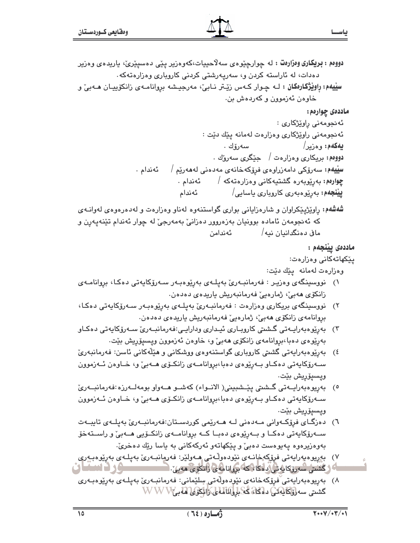<mark>دووم : بريکاري وەزارەت</mark> : له چوارچێوەي سەلاّحییات،کەوەریر یێی دەسپێرێ، یاریدەی وەریر دهدات، له ئاراسته کردن و، سەريەرشتى کردنى کاروبارى وەزارەتەکە.

**سِیْیەم: رِاویْژْکارەکان :** لــه چـوار کــهس زیّـتر نــابیّ، مەرجیـشه بروانامــهى زانکۆپیــان *ه*ــهبیّ و خاوهن ئەزموون و كەردەش ىن.

### ماددهي چوارهم:

```
ئەنجومەنى راوێژكارى :
                     ئەنجومەنى راوێژكارى وەزارەت لەمانە يێك دێت :
                                                   بهكهم: وهزير/
                           سەرۆك .
                        دووهم: بريکاري وهزارهت / حێگري سهروك .
          سێێۿم: سەرۆکى دامەزراوەى فرۆکەخانەى مەدەنى لەھەرێم /
ئەندام .
                       چوارهم: بەرێوپەرە گشتىيەكانى وەزارەتەكە /
             ئەندام.
                              ييْنجەم: بەرێوەبەرى كاروپارى ياسايى/
             ئەندام
```
**شهشهم:** راوێژیێکراوان و شارهزایانی بواری گواستنهوه لهناو وهزارهت و لهدهرهوهی لهوانـهی که ئەنجومەن ئامادە بوونيان بەزەروور دەزانىؒ بەمەرجىؒ لە چوار ئەندام تێنەپەرن و ماڧ دەنگدانىان نىە/ ئەندامن

### ماددەى يېنجەم :

ییکهاتهکانی وهزارهت:

وەزارەت لەمانە يېڭ دېت:

- ۱) نووسینگەی وەزیـر : فەرمانبـەریؒ بەیلـەی بەرێوەبـەر سـەرۆکاپەتی دەکـا، بروانامـەی زانكۆي ھەبى، ژمارەيى فەرمانبەريش ياريدەي دەدەن.
- ۲) نووسینگەی بریکاری وەزارەت : فەرمانبەریٰ بەپلەی بەرپوەبەر سەرۆکايەتی دەکا، بروانامەي زانكۆي ھەبى، ژمارەيى فەرمانبەريش باريدەي دەدەن.
- ۳) بەرێوەبەراپـەتى گىشىتى كاروبـارى ئېـدارى ودارايـى:فەرمانبـەرى سـەرۆكاپەتى دەكـاو بەرێوەي دەبا،بروانامەي زانكۆي ھەبىؒ و، خاوەن ئەزموون ويسىيۆريش بێت.
- ٤) بەرێوەبەراپەتى گشىتى كاروبارى گواستنەوەي ووشكانى و ھێڵەكانى ئاسن: فەرمانبەرىّ ســهرۆکايەتى دەكــاو بــهرێوەي دەبا،بروانامــهي زانكــۆي ھــهبيّ و، خــاوەن ئــهزموون ويسىيۆريش بێت٠
- ٥) بەرپوەبەراپــەتى گــشىتى يێــشبېينى( الانــواء) كەشــو ھــەواو بومەلــەرزە:فەرمانبــەرئ سەرۆكايەتى دەكاو بەريوەي دەبا،بروانامىەي زانكىۆى ھـەبى و، خىاوەن ئـەزموون ويسىيۆرىش بۆت.
- ٦) دەزگــاي فرۆكــەوانى مــەدەنى لــە ھــەرێمى كوردســتان:فەرمانبــەرئ بەيلــەي تايبــەت ســهرۆکايەتى دەکــا و بــەرێوەی دەبــا کــە بروانامــەی زانکــۆيى ھــەبىؒ و راســتەخۆ بهوهزيرهوه پهيوهست دهبيؒ و پێکهاتهو ئهرکهکانی به پاسا رێك دهخریؒ٠
- ٧) بەريوەبەرايەتى فرۆكەخانىەي نۆودەوللەتى ھـەولێر: فەرمانبـەرێ بەيلـەي بەرێوەبـەرى **SLEMENT** ے ( گشتی سەرۆکاپەتى دەكا<sup>ر</sup> كە بروانامەي رانكۆي ھەي*ل:* 1
- ٨) بەرپوەبەرايەتى ّفرۆكەخانەي نێوِدەوڵەتى سِلێمانى: فەرمانبـەرێ بەپلـەي بەرێوەبـەرى كشتى سەرۋكلىقىن دەكلەڭگىلولگانلىلى ئانكۆپى قەبىWW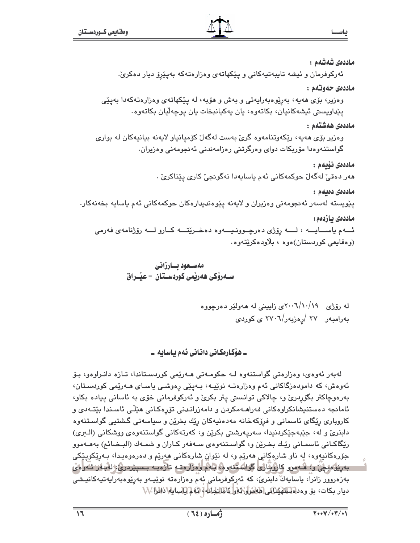ماددەى شەشەم :

ئەركوفرمان و ئیشە تايبەتيەكانى و يێكھاتەي وەزارەتەكە بەيێرۆ ديار دەكرىؒ·

ماددەي جەوتەم :

وەزیر، بۆی ھەيە، بەرێوەبەرايەتى و بەش و ھۆبە، لە يێكھاتەي وەزارەتەكەدا بەيێى يێداويستي ئيشەكانيان، بكاتەوە، يان يەكيانبخات يان يوچەڵيان بكاتەوە.

ماددەى ھەشتەم :

وهزیر بۆی هەیە، ریکەوتنامەوه گرئ بەست لەگەل کۆمیانیاو لایەنە بیانیەکان لە بواری گواستنەوەدا مۆربكات دواي وەرگرتنى رەزامەندنى ئەنجومەنى وەزيران.

ماددەى ئۆبەم :

هەر دەقىٚ لەگەلٚ حوكمەكانى ئەم ياسايەدا نەگونجىٰ كارى يێناكرىٚ ٠

ماددەى دەبەم :

پێویسته لهسهر ئهنجومهنی وهزیران و لایهنه پێوهندیدارهکان حوکمهکانی ئهم یاسایه بخهنهکار.

ماددەى بازدەم :

ئـــهم ياســــايـــه ، لـــــه رۆژى دەرچــوونـيــــهوه دەخــرێتــــه كــارو لــــه رۆژنامهى فەرمى (وەقايعى كوردستان)ەوە ، بلاودەكرێتەوە.

له رۆژی ۲۰۰/۱۰/۱۹ و زایینی له ههولیٰر دەرچووه  
بهرامبهر ۲۷ 
$$
/\پەزبهر/۲۰۰۲ کی کوردی
$$

۔ ھۆكارەكانى دانانى ئەم باسابە ۔

لەيەر ئەۋەئ، ۋەزارەتى گۈاستنەۋە لـە چكۈمـەتى ھـەرێمى كۈردسـتاندا، تـازە دانىراۋەۋ، يـۆ ئەوەش، كە دامودەزگاكانى ئەم وەزارەتـە نوێپـە، بـەيێى رەوشـى ياسـاى ھـەرێمى كوردسـتان، بەرەوچاكتر بگۆردرى و، چالاكى توانسىتى يتر بكرى و ئەركوفرمانى خۆى بە ئاسانى پيادە بكاو، ئامانجه دەستنیشانکراوەکانی فەراھـەمکردن و دامەزرانـدنی تۆرەکـانی هێڵی ئاسـندا بێتـەدی و کارویاری رێگای ئاسمانی و فرۆکەخانە مەدەنيەکان رێك بخرێن و سیاسەتی گشتیی گواسـتنەوە دابنريّ و له، جێبهجێکردنيدا، سەريەرشتي بکرێن و، کەرتەکانی گواستنەوەي ووشکانی (الـرى) رێگاکـانی ئاسمـانی رێـك بخـرێن و، گواسـتنەوەی سـەفەر كـاران و شمـەك (البـضائـع) بەھـەموو جۆرەكانيەوە، لە ناو شارەكانى ھەرپە ۋە لە نيوان شارەكانى ھەرپە و دەرەوەيدا، بەرپكويېكى بەرزۇمۇچى ر، ھەمور كاروپارى گواشتتەرۇ، بەم رەزارەت تازەپ بىسىزدرى لەبلار ئەرەپ بەزەروور زانرا، ياسايەڭ دابنرى، كە ئەركوفرمانى ئەم وەزارەتە نوپيەو بەرپوەبەرايەتيەكانيىشى ديار بكات، بِيْ وەدلەللىللەينىڭى لاياشول كەلى كامانجانلە) كەلم لى سايلان لارا .\\\

ياس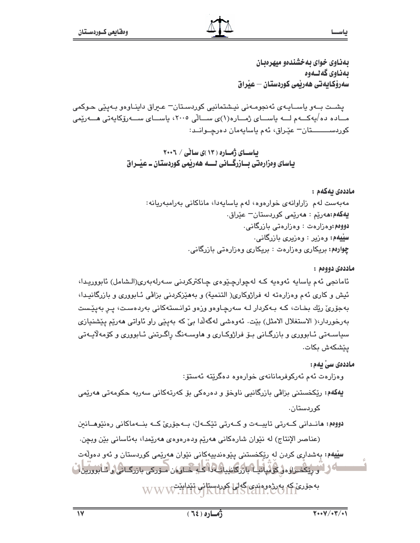بهذاوي خواي به خشندهو ميهرهبان بەناوى كەلىەوە سەرۆكايەتى ھەربمى كوردستان – عبراق

يشـت بــهو پاســايـهى ئهنجومـهنى نيـشتمانيى كوردسـتان= عـبراق داينـاوهو بـهيێى حـوكمى مــاده ده/يەكـــەم لـــە ياســـاي ژمـــاره(۱)ي ســـالّي ۲۰۰۵، ياســـاي ســـەرۆكايەتى هـــەرێمى کوردســــــــتان= عێـراق، ئهم پاسايهمان دەرچــوانــد:

> بیاسسای ژمساره ( ۱۳ )ی سالی / ۲۰۰۶ یاسای وہزارہتی بازرگانی لے هەرپمی کوردستان۔ عیْــراق

> > ماددەي بەكەم : مەبەست لەم زاراوانەي خوارەوە، لەم ياسايەدا، ماناكانى بەرامبەريانە: **يەكەم:م**ەرێم : ھەرێمى كوردستان<sup>ـــ</sup> عێراق. دووهم:وهزارهت : وهزارهتي بازرگاني. سليهه: وهزير : وهزيري بازرگاني. چوارهم: بریکاری وهزارهت : بریکاری وهزارهتی بازرگانی.

> > > ماددەي دووەم:

ئامانجي ئەم ياسايە ئەوەيە كـە لەچوارچێوەي چـاكتركردنى سـەرلەبەرى(الـشامل) ئابووريـدا، ئيش و كاري ئهم وهزارهته له فراژوكاري( التنمية) و بههێزكردني بزاڤي ئـابووري و بازرگانيـدا، بەجۆرىؒ رێك بخـات، كـە بـەكردار لـە سەرچـاوەو وزەو توانـستەكانى بەردەسـت، پـر بەيێـست بەرخوردار،( الاستغلال الامثل) بێت. ئەوەشى لەگەلدا بيّ كە بەيێى راو ئاواتى ھەرێم يێشنيازى سیاسـهتی ئـابووری و بازرگـانی بـۆ فراژوكـاری و هاوسـهنگ راگـرتنی ئـابووری و كۆمەلايـهتی يێشكەش بكات.

ماددەى سى يەم : وەزارەت ئەم ئەركوفرمانانەي خوارەوە دەگريتە ئەستۆ: **يەكەم:** رێكخستنى بزاڤي بازرگانيي ناوخۆ و دەرەكى بۆ كەرتەكانى سەريە حكومەتى ھەرێمى کوردستان. دووم: مانـداني کــهرتي تايبــهت و کــهرتي تێکــهل، بــهجوّريّ کــه بنــهماکاني رهنێوهــانين (عناصر الإنتاج) له نێوان شارهكاني هەرێم ودەرەوەي ھەرێمدا، بەئاسانى بێن ويچن. <mark>سیّیهم:</mark> بهشداری کردن له ریکخستنی پیّوهندییهکانی نیّوان ههریمی کوردستان و ئهو دهولّهت اگر کے ریکھولاؤ کی پیانیا بازرگانلیانی داکے خیارون میں کی بازرگیائی کی ابوورین اُ بەجۆرى كە بەرۋەرەندى گەلىل كوردسىتانى تېرابېيىت.<br>WWW.IIIO KUI UISCAII.COII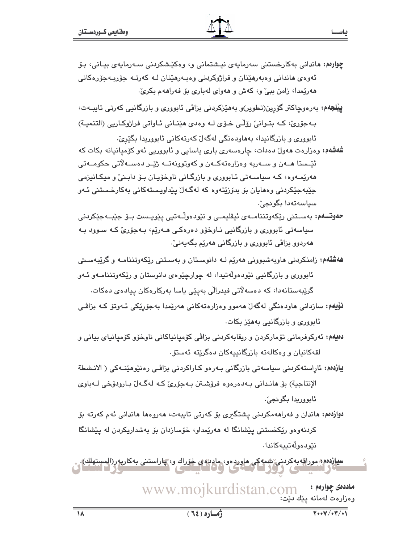- چوارهم: ماندانی بهکارخستنی سهرمایهی نیشتمانی و، وهکیشکردنی سـهرمایهی بیـانی، بـۆ ئەوەي ھاندانى وەبەرھێنان و فراژوكردنى وەبـەرھێنان لـﻪ كەرتـﻪ جۆربـﻪجۆرەكانى هەريمدا، زامن بېيّ و، كەش و ھەواي لەبارى بۆ فەراھەم بكرىّ.
- **پیْنجهم:** بەرەوچاكتر گۆرپن(تطویر)و بەھێزكردنى بزاڤى ئابوورى و بازرگانيى كەرتى تايبـەت، بـهجوّريّ، کـه بتـوانيّ روّلـّي خـوّي لـه وهدي هێنـاني ئـاواتي فراژوکـاريي (التنميـة) ئابووری و بازرگانیدا، بههاودهنگی لهگهلٌ کهرتهکانی ئابووریدا بگیریٌ.

شەشەم: وەزارەت ھەولٌ دەدات، چارەسەرى بارى ياسايى و ئابووريى ئەو كۆمپانيانە بكات كە ئٽِـستا هــهن و ســهريه وهزارهتهکــهن و کهوتوونهتــه ژێــر دهســهلاتي حکومــهتي هەرپّمـەوە، كـه سياسـەتى ئـابوورى و بازرگـانى ناوخۆپـان بـۆ دابـنىٚ و ميكـانيزمى جێڹەجێکردنی وەھاپان بۆ بدۆرێتەوە کە لەگـﻪڵ پێداویـستەکانی بەکارخـستنی ئـﻪو سياسەتەدا بگونجىٰ.

- **حەوتـــەم:** بەســتنى رێكەوتننامــەي ئيقليمــي و نێودەوڵـەتيى يێويــست بــۆ جێبــەجێكردنى سیاسەتی ئابورری و بازرگانیی نـاوخۆر دەرەكـی ھـەرێم، بـەجۆریٚ كـه سـورد بـه هەردوو بزاڤی ئابووری و بازرگانی هەرێم بگەيەنیٚ.
- **ههشتهم:** زامنکردنی هاوبهشبوونی ههرێم لـه دانوسـتان و بهسـتنی رێِکهوتننامـه و گرێِبهسـتی ئابووري و بازرگانيي نێودهوڵەتپدا، له چوارچێوەي دانوستان و رێکەوتننامـەو ئـەو گرێبەستانەدا، كە دەسەلاتى فىدرالى بەيێى ياسا بەركارەكان بيادەي دەكات.
- **نۆيەم:** سازدانی ماودەنگی لەگەل ھەمور رەزارەتەكانی ھەرپمدا بەجۆرپكی ئـەوتۆ كـە بزاڤـی ئابووری و بازرگانیی بههێز بکات.
- دەيەم: ئەركوفرمانى تۆماركردن و ريقابەكردنى بزاڤى كۆمپانپاكانى ناوخۆو كۆمپانياي بيانى و لقەكانيان و وەكالەتە بازرگانييەكان دەگرێتە ئەستۆ.
- يازدهم: ئاراستەكردنى سياسەتى بازرگانى بەرەو كـاراكردنى بزاڤـى رەنێوھێنـەكى ( الانـشطة الإنتاجية) بِق هانداني بـ٥دەرەوە فرۆشـتن بـ٥جۆري كـﻪ لهگـﻪلْ بـارودۆخى لـﻪباوي ئابورريدا بگوئجيؒ.
- دوازدهم: هاندان و فەراھەمكردنى يشتگيرى بۆ كەرتى تايبەت، ھەروەھا ھاندانى ئەم كەرتە بۆ کردنهوهو ريکخستني پيشانگا له ههريمداو، خوسازدان بو بهشداريکردن له پيشانگا نٽو پيور ٽوتىيەكاندا.

<mark>سيازدەم</mark> موراقەبەكردىن شمەكى مارردەر، مادىرەي خۆراك ر، چاراستنى بەكارپەر(المستهلك).

www.mojkurdistan.com ماددهۍ چوارهم : وەزارەت لەمانە يێك دێت: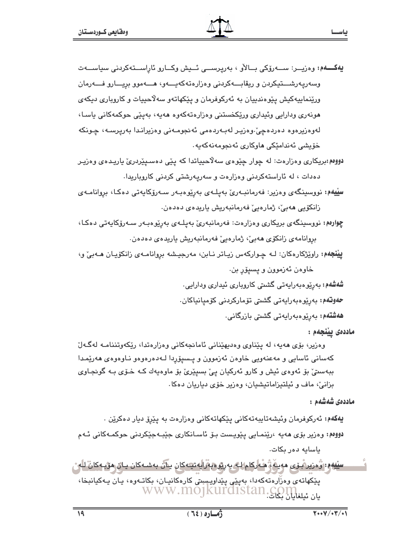- يەكسەم: وەزيــر: ســـەرۆكى بــالأو ، بەريرســـى ئــدِش وكــارو ئاراســتەكردنى سياســـەت وسەريەرشـــتيكردن و ريقابـــەكردنى وەزارەتەكەيـــەو، ھـــەموو بريـــارو فـــەرمان ورێنماییهکیش یێوهندییان به ئەرکوفرمان و یێکهاتەو سەلاّحییات و کاروباری دیکەی هونەرى ودارايى وئيدارى ورێكخستنى وەزارەتەكەوە ھەيە، بەيێى حوكمەكانى ياسـا، لەرەزيرەرە دەردەچى،رەزير لەبەردەمى ئەنجومەنى رەزيراندا بەريرسـە، چـونكە خۆيشى ئەندامێكى ھاوكارى ئەنجومەنەكەيە.
- دووم، بريکاري وهزارهت: له چوار چێوهي سهلاٌحيياتدا که پێي دهسـيێردريّ ياريـدهي وهزيـر دهدات ، له ئاراستهکردنی وهزارهت و سهریهرشتی کردنی کاروباریدا.
- سِپْیْهُمْ: نووسینگەی وەزیر: فەرمانبـەریؒ بەیلـەی بەرێوەبـەر سـەرۆکاپەتی دەکـا، بروانامـەی زانكۆيى ھەبى، ژمارەيى فەرمانبەريش ياريدەي دەدەن.
- چوارهم: نووسینگەی بریکاری وەزارەت: فەرمانبەریّ بەپلەی بەرپوەبەر سەرۆكايەتى دەكا، بروانامەي زانكۆي ھەبى، ژمارەيى فەرمانبەريش ياريدەي دەدەن.
- **ییْنجهم:** راویْژکارهکان: لـه چـوارکهس زیـاتر نـابن، مهرجیـشه بروانامـهی زانکۆیـان هــهبیْ و، خاوهن ئەزموون و پسيۆر بن.
	- شەشەم: بەرێوەبەراپەتى گشتى كاروپارى ئىدارى ودارايى.
	- **حەوتەم:** بەرێوەبەرايەتى گشىتى تۆماركردنى كۆميانىاكان.
		- ھ**ەشتەم:** بەرێوەبەرايەتى گشتى بازرگانى٠

ماددەي يېنجەم :

وهزیر، بۆی هەیە، لە یێناوی وەدیهێنانی ئامانجەکانی وەزارەتدا، رێکەوتننامـە لەگـەلٌ كەسانى ئاسايى و مەعنەويى خاوەن ئەزموون و يىسپۆردا لـەدەرەوەو نـاوەوەي ھەرێمـدا ببهستيؒ بۆ ئەوەي ئيش و كارو ئەركيان يېؒ بسيێريؒ بۆ ماوەپەك كـﻪ خـۆي بـﻪ گونجـاوي بزانی، ماف و ئیلتیزاماتیشیان، وهزیر خۆی دیاریان دهکا.

ماددەي شەشەم :

**يەكەم:** ئەركوفرمان وئيشەتايبەتەكانى يێكھاتەكانى وەزارەت بە يێرۆ ديار دەكرێن . دووم: وهزیر بۆی مەپە ،رێنمـابى پێویـست بـۆ ئاسـانكارى جێبـەجێكردنى جوكمـەكانى ئـەم ىاسايە دەر يكات.

سِيْهِهِمِ: رُودِيرهُ نِي مەينە : ْ هُـه لِكام لـه بەرتو دېڤرايەتچەكان يىآن بەشـەكان يـان ھۆپـەكانْ لـه پێِکهاتهی وهزّارهتهکهدا، بهپێؠ پێداویسیتی کارهکانیـان، بکاتـهوه، یـان یـهکیانبخا، يان ئىلغايان يىلى:www.mojkurdıstan.com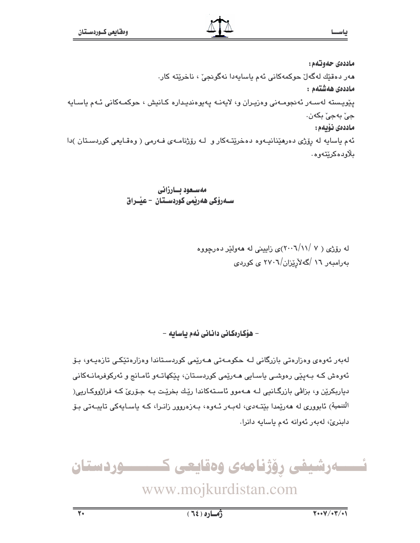ماددەي حەوتەم: هەر دەقىّك لەگەل چوكمەكانى ئەم ياسايەدا نەگونچى ، ناخرىتە كار. ماددەى ھەشتەم : پێویسته لهسـهر ئهنجومـهنی وهزیـران و، لایهنـه یهیوهندیـداره کـانیش ، حوکمـهکانی ئـهم یاسـایه جيٰ بهجيٰ بکهن. ماددەى نۆيەم : ئهم ياسايه له رۆژى دەرھێنانيـهوه دەخرێتـهكار و لـه رۆژنامـهى فـهرمى ( وەقـايعى كوردسـتان )دا بلاودەكرێتەوە.

> مەسىعود ئسارزانى ســهروْکی ههریمی کوردســتـان – عیـْــراق

> > له رۆژى ( ۷ /۰۰\(٢٠٠٦)ى زايينى له هەولێر دەرچووه بەرامبەر ١٦ /گەلأرێزان/٢٧٠٦ ى كوردى

– ھۆكارەكانى دانانى ئەم باسابە –

لەبەر ئەوەي وەزارەتى بازرگانى لـە حكومـەتى ھـەرێمى كوردسـتاندا وەزارەتێكـى تازەپـەو، بـۆ ئەوەش كـه بـەيێى رەوشـى ياسـايى ھـەرێمى كوردسـتان، يێكهاتـەو ئامـانج و ئەركوفرمانـەكانى دیاربکرین و، بزاڤی بازرگـانیی لـه هـهموو ئاسـتهکاندا ریّك بخریّت بـه جـوّری کـه فراژووكـاریی( التنمیة) ئابووری له هەرپمدا بێتــهدی، لـهبـهر ئــهوه، بـهزهروور زانـرا، کـه یاسـایـهکی تایبــهتی بـۆ دابنريّ، لەبەر ئەوانە ئەم ياسايە دانرا.

ئــــــەرشيفى رۆژنامەى وەقايعى كــــــــــوردستان

www.mojkurdistan.com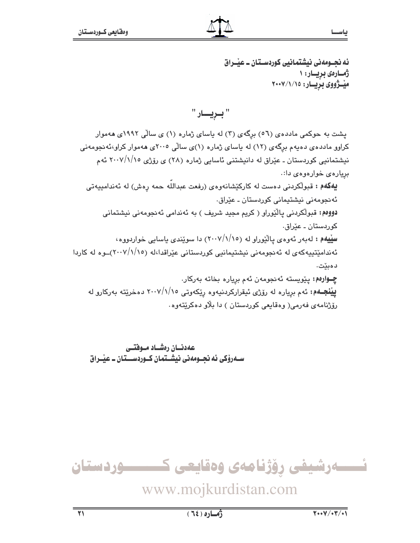ئه نجــومهني نيشتمانيي كوردســتان ــ عيْــراق ژمارەى بريـار: ١ میشووی بریسار: ٢٠٠٧/١/١٥

پشت به حوکمی ماددهی (٥٦) برگهی (٣) له پاسای ژماره (١) ی سالّی ١٩٩٢ی ههموار کراوو مادده ی دهیهم برِگهی (۱۲) له یاسای ژماره (۱)ی سالّی ۲۰۰۵ی ههموار کراو،ئهنجومهنی نیشتمانیی کوردستان ـ عیّراق له دانیشتنی ئاسایی ژماره (۲۸) ی روّژی ۲۰۰۷/۱/۱۵ ئهم بریارهی خوارهوهی دا:.

**يهکهم :** قبولکردنی دهست له کارکێشانهوهی (رفعت عبدالله حمه رهش) له ئهندامییهتی ئەنجومەنى نيشتيمانى كوردستان ـ عێراق٠ دووه،: قبولکردنی یالێوراو ( کریم مجید شریف ) به ئهندامی ئه نجومهنی نیشتمانی کوردستان ـ عێراق٠ سلیله : له به ر نه ودی یالیوراو له (١/١/١٥) دا سویندی باسایی خواردووه، ئەندامێتیپەکەی لە ئەنجومەنى نیشتیمانیی کوردستانی عیراقدا،لە (١٠٠٧/١/١٥)ــوە لە کاردا دەبێت. **چــوارەم:** پێويسته ئەنجومەن ئەم بريارە بخاتە بەركار. **پينجـهم:** ئهم برياره له رۆژى ئيقراركردنيهوه رێکهوتى ٢٠٠٧/١/١٥ دهخرێته بهرکارو له رۆژنامەي فەرمى( وەقايعى كوردستان ) دا بلاو دەكريتەوە.

عهدنسان رهشساد مسوفتسى سـهروکی ئه نحـومهنی نیشـتمان کـوردســتان ـ عیّـراق

![](_page_22_Picture_8.jpeg)

## www.mojkurdistan.com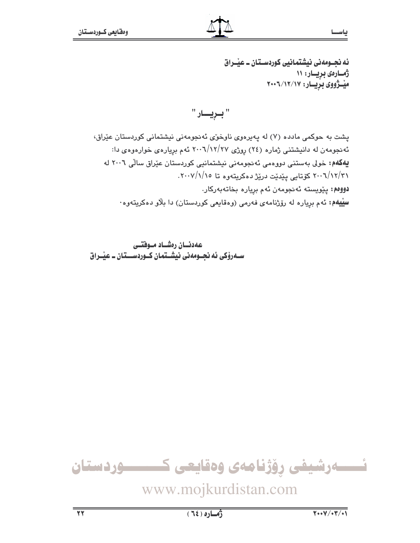ئه نجــومهني نيشتمانيي كوردســتان ــ عيْــراق ژمارەى بريار: ١١ میْــژووی بریــار: ۲۰۰٦/۱۲/۱۷

" بريـــار "

يشت به حوكمي مادده (٧) له يهيرهوي ناوخوري ئه نجومهني نيشتماني كوردستان عيّراق، ئه نجومهن له دانیشتنی ژماره (٢٤) روژی ٢٧/١٢/٢٧ ئهم بریارهی خوارهوهی دا: یهکهم: خولی بهستنی دووهمی ئهنجومهنی نیشتمانیی کوردستان عیّراق سالّی ۲۰۰٦ له ۲۰۰٦/۱۲/۳۱ کۆتايى پێدێت درێژ دەكريتەوە تا ۲۰۰۷/۱/۱۰. .<br>**دووهم:** پێویسته ئەنجومەن ئەم بریارە بخاتەبەركار. **سییهم:** ئهم بریاره له رۆژنامهی فهرمی (وهقایعی کوردستان) دا بلاّو دهکریتهوه·

عهدنسان رەشساد مىوفتىي سـهروکی ئه نجــومهنی نیشــتمان کــوردســـتان ــ عیّــراق

![](_page_23_Picture_7.jpeg)

www.mojkurdistan.com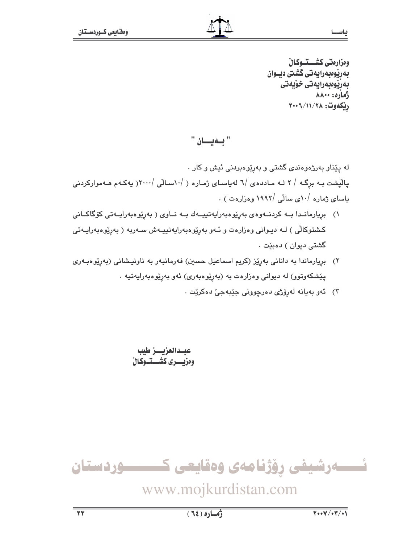وەزارەتى كشـــتــوكـالْ بەرپوەبەرايەتى گشتى ديــوان بەرپوەبەرايەتى خۆيەتى ژماره: ۸۸۰۰ رِيْكَهُوت: ٢٠٠٦/١١/٢٠٠٢

"بهيان "

له پێناو بهرژهوهندی گشتی و بهرێوهبردنی ئیش و کار . یالیشت بـه برگـه / ۲ لـه مـاددهى /٦ لهیاسـاى ژمـاره ( /١٠سـالّى /٢٠٠٠( یهکـهم هـهموارکردنى یاسای ژماره /۱۰ی سالی /۱۹۹۲ وهزارهت ) .

- ١) بريارمانىدا بىه كردنىهوەي بەريوەبەرايەتييىەك بىه نىاوى ( بەريوەبەرايىەتى كۆگاكىانى کشتوکالّی ) لـه دیـوانی وهزارهت و ئـهو بهرِێوهبهرایهتییـهش سـهربه ( بهرِێوهبهرایـهتی گشتی دیوان ) دەبێت .
- ۲) بریارماندا به دانانی بەرێز (کریم اسماعیل حسین) فەرمانبەر بە ناونیـشانی (بەرێوەبـەری يێشکەوتوو) لە ديوانى وەزارەت بە (بەرێوەبەرى) ئەو بەرێوەبەرايەتيە .
	- ۳) ئەو بەيانە لەرۆژى دەرچوونى جێبەجىٚ دەكرێت .

عبدالعزيسز طيب وهزيسرى كشستسوكال

ئـــــەرشيفى رۆژنامەى وەقايعى كــــــــــوردستان

www.mojkurdistan.com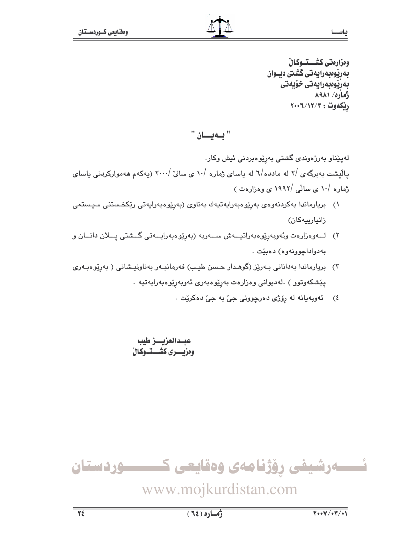وەزارەتى كشـــتــوكـالْ بەرپوەبەرايەتى گشتى ديــوان بەرپوەبەرايەتى خۆيەتى **AAA1** / 0.143 ريكەوت: ٢٠٠٦/١٢/٢

"بهيان "

لەيێناو بەرژەوندى گشتى بەرێوەبردنى ئيش وكار. یالیشت بهبرگهی /۲ له مادده/٦ له پاسای ژماره /۱۰ ی سالیّ /۲۰۰۰ (پهکهم ههموارکردنی پاسای ژمارہ /۱۰ ی سالّی /۱۹۹۲ ی وہزارہت )

- ١) بريارماندا بەكردنەوەي بەرپوەبەرايەتيەك بەناوى (بەرپوەبەرايەتى ريكخستنى سيستمى زانيارييه كان)
- ٢) لـــەوەزارەت وئەوبەرێوەبەراتيـــەش ســـەربە (بەرێوەبەرايـــەتى گـــشتى يـــلان دانـــان و به دواداجوونه وه) دهييت .
- ۳) بریارماندا بەدانانی بـەرێز (گوھـدار حـسن طیـب) فەرمانبـەر بەناونیـشانی ( بەرێوەبـەری يێشكەوتوو ) .لەدىيوانى وەزارەت بەرێوەبەرى ئەوبەرێوەبەراپەتپە .
	- ٤) گهويهيانه له روزي دهرچووني جيّ به جيّ دهکريّت .

عبــدالعزيــــز طيب وەزىسىرى كشىتىوكال

![](_page_25_Picture_11.jpeg)

www.mojkurdistan.com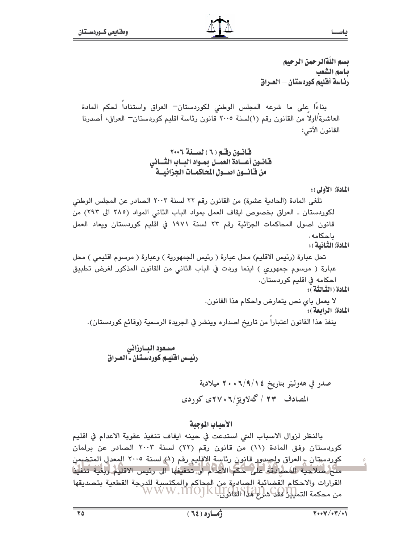بسم اللّةالرحمن الرحيم ياسم الشعب رئــاسة أفـليم كـوردستــان — الـعـــراق

بناءًا على ما شرعه المجلس الوطني لكوردستان— العراق واستنادا لحكم المادة العاشرة/اولا من القانون رقم (١)لسنة ٢٠٠٥ قانون رئاسة اقليم كوردستان— العراق، أصدرنا القانون الآتي:

المادة (الأولى):

تلغي المادة (الحادية عشرة) من القانون رقم ٢٢ لسنة ٢٠٠٣ الصادر عن المجلس الوطني لكوردستان ـ العراق بخصوص ايقاف العمل بمواد الباب الثاني المواد (٢٨٥ الى ٢٩٢) من قانون اصول المحاكمات الجزائية رقم ٢٣ لسنة ١٩٧١ في اقليم كوردستان ويعاد العمل ىاجكامە. المادة الثانية): تحل عبارة (رئيس الاقليم) محل عبارة ( رئيس الجمهورية ) وعبارة ( مرسوم اقليمي ) محل عبارة ( مرسوم جمهوري ) اينما وردت في الباب الثاني من القانون المذكور لغرض تطبيق احكامه في اقليم كوردستان.

المادة (الثِّبالثَّة ) :

لا يعمل باي نص يتعارض واحكام هذا القانون. المادة( الرابعة): ينفذ هذا القانون اعتبارا من تاريخ اصداره وينشر في الجريدة الرسمية (وقائع كوردستان).

مسعود البارزاني رئيس اقليم كوردستان ـ العـراق

> صدر في هەولـێر بتاريخ ١٤/٩/١٤+٢٠ ميلادية المصادف ۲۳ / گەلاويژ/۲۰۰۲، کوردی

### الأسياب الموجية

بالنظر لزوال الاسباب التي استدعت في حينه ايقاف تنفيذ عقوبة الاعدام في اقليم كوردستان وفق المادة (١١) من قانون رقم (٢٢) لسنة ٢٠٠٣ الصادر عن برلمان كوردستان ۽ العراق ولِصِيدِور قانون رئاسة الاقليم رقم (١) لسنة ٢٠٠٥ المعدل المتخبمن منح صلاحية المصادقة على حكم الاعدام او. تخفيفها إلى رئيس الاقليم وبغية تنفيز القرارات والاحكام القضائية الصادرة من المحاكم والمكتسبة للدرجة القطعية بتصديقها من محكمة التم<mark>يليز فغد شراع مداكلة WWW .MOJKUJ</mark>G

ياســا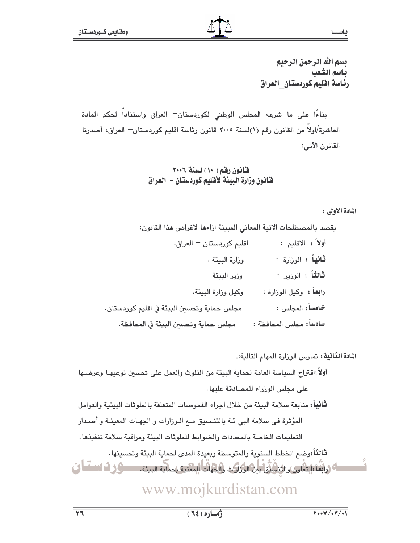بسم الله الرحمن الرحيم ياسم الشعب رئاسة اقليم كوردستان العراق

بناءًا على ما شرعه المجلس الوطني لكوردستان— العراق واستناداً لحكم المادة العاشرة/اولاً من القانون رقم (١)لسنة ٢٠٠٥ قانون رئاسة اقليم كوردستان— العراق، أصدرنا القانون الآتي:

### قانون رقم ( ١٠ ) لسنة ٢٠٠٦ فانون وزارة البيئة لأقليم كوردستان – العراق

### المادة الأولى:

ياس

يقصد بالمصطلحات الاتية المعاني المبينة ازاءها لاغراض هذا القانون:

| اقليم كوردستان - العراق.                    | أولاً: الاقليم :               |
|---------------------------------------------|--------------------------------|
| وزارة البيئة .                              | <b>ثانياً :</b> الوزارة :      |
| وزير البيئة.                                | <b>ثانثاً :</b> الوزير :       |
| وكيل وزارة البيئة.                          | <b>رابعاً :</b> وكيل الوزارة : |
| مجلس حماية وتحسين البيئة في اقليم كوردستان. | خامساً: المجلس :               |
| مجلس حماية وتحسين البيئة في المحافظة.       | سادساً: مجلس المحافظة :        |

ا**لمادة الثّانية:** تمارس الورارة المهام التالية:ـ

أولاً:اقتراح السياسة العامة لحماية البيئة من التلوث والعمل على تحسين نوعيهـا وعرضـها على محلس الوزراء للمصادقة عليها.

**ثَانياً:** منابعة سلامة البيئة من خلال اجراء الفحوصات المتعلقة بالملوثات البيئية والعوامل المؤثرة في سلامة البي ئـة بالتنـسيق مـع الـوزارات و الجهـات المعينـة و أصـدار التعليمات الخاصة بالمحددات والضوابط للملوثات البيئة ومراقبة سلامة تنفيذها .

ثالثاً :وضع الخطط السنوية والمتوسطة وبعيدة المدى لحماية البيئة وتحسينها . ناك (رابعاً: إلتحاوى والثنائيين بين الوزارات والجهات المعنية بمماية البيئة. مستوفى فى المستسلى

## www.mojkurdistan.com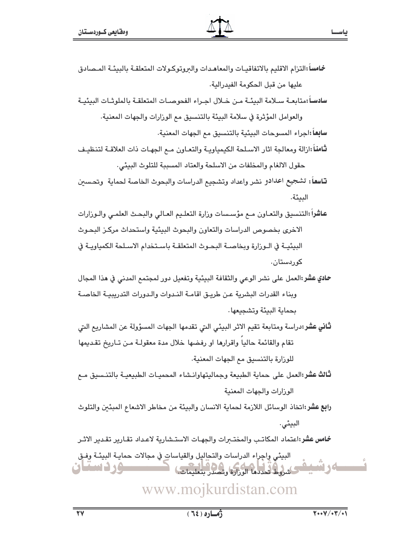- خامسا :التزام الاقليم بالاتفاقيـات والمعاهـدات والبروتوكـولات المتعلقـة بالبيئـة المـصادق عليها من قبل الحكومة الفيدرالية.
- سادســآ :متابعــة ســلامة البيئــة مـن خــلال اجــراء الفحوصــات المتعلقــة بالملوثــات البيئيــة

والعوامل المؤثرة في سلامة البيئة بالتنسيق مع الوزارات والجهات المعنية. سابعاً:اجراء المسوحات البيئية بالتنسيق مع الجهات المعنية.

- **ثامناً** ازالة ومعالجة اثار الاسلحة الكيمياويـة والتعـاون مـع الجهـات ذات العلاقـة لتنظيـف حقول الالغام والمخلفات من الاسلحة والعتاد المسببة للتلوث البيئي.
- تاسعاً: تشجيع اعدادو نشر واعداد وتشجيع الدراسات والبحوث الخاصة لحماية ۖ وتحسين البيئة.
- عاشراً :التنسيق والتعـاون مــع مؤسـسات وزارة التعلـيم العـالي والبحـث العلمـي والـوزارات الاخرى بخصوص الدراسات والتعاون والبحوث البيئية واستحداث مركـز البحـوث البيئيـة في الـوزارة ويخاصـة البحـوث المتعلقـة باسـتخدام الاسـلحة الكمباويـة في کوردستان.
- حادي عشر:العمل على نشر الوعي والثقافة البيئية وتفعيل دور لمجتمع المدني في هذا المجال وبناء القدرات البشرية عن طريق اقامة الندوات والدورات التدريبية الخاصة بجماية البيئة وتشجيعها .
- **ثَّاني عشر:**دراسة ومتابعة تقيم الاثر البيئي التي تقدمها الجهات المسؤولة عن المشاريع التي تقام والقائمة حاليا واقرارها او رفضها خلال مدة معقولـة مـن تـاريخ تقـديمها للوزارة بالتنسيق مم الجهات المعنية.
- ثالث عشر:العمل على حماية الطبيعة وجماليتهاوانشاء المحميات الطبيعيـة بالتنسيق مـع الوزارات والجهات المعنية
- **رابع عشر:**اتخاذ الوسائل اللازمة لحماية الانسان والبيئة من مخاطر الاشعاع المبئين والتلوث البيئي.

خامس عشر:اعتماد المكاتب والمختبرات والجهات الاستشارية لاعداد تقارير تقدير الاثر

البيئي واجراء الدراسات والتحاليل والقياسات في مجالات حمايـة البيئـة وفـق ۸. ۱. استان كشروط تحددها الوزارة وتصدر بتعليمات

### www.mojkurdistan.com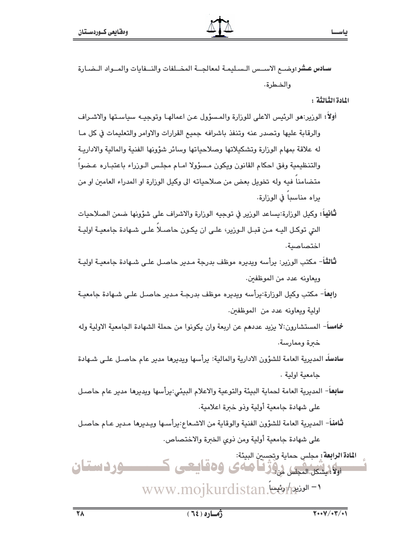سادس عشر:وضب الاسبس السبليمة لمعالجية المختلفات والنسفايات والمسواد التضبارة والضطرة.

اللادة الثالثة :

ياس

أولاً: الوزير:هو الرئيس الاعلى للوزارة والمسؤول عن اعمالهـا وتوجيـه سياسـتها والاشـراف والرقابة عليها وتصدر عنه وتنفذ باشرافه جميع القرارات والاوامر والتعليمات في كل مـا له علاقة بمهام الوزارة وتشكيلاتها وصلاحياتها وسائر شؤونها الفنية والمالية والاداريـة والتنظيمية وفق احكام القانون ويكون مسؤولا امـام مجلس الـوزراء باعتبـاره عـضوا متضامنا فيه وله تخويل بعض من صلاحياته الى وكيل الورارة او المدراء العامين او من براه مناسبا في الوزارة.

- **ثَانياً:** وكيل الورارة:يساعد الورير في توجيه الورارة والاشراف على شؤونها ضمن الصلاحيات التي توكـل اليـه مـن قبـل الـوزير، علـي ان يكـون حاصـلا علـي شـهادة جامعيـة اوليـة اختصاصية.
- **ثالث**اً- مكتب الورير: برأسه ويديره موظف بدرجة مـدير حاصـل علـى شـهادة جامعيـة اوليـة ويعاونه عدد من الموظفين.
- رابعاً- مكتب وكيل الوزارة:يرأسه ويديره موظف بدرجـة مـدير حاصـل علـي شـهادة جامعيـة اولية ويعاونه عدد من الموظفين.
- خامساً- المستشارون:لا بزيد عددهم عن اربعة وإن بكونوا من حملة الشهادة الجامعية الاولية وله خىرة وممارسة.
- سادساًـ المديرية العامة للشؤون الادارية والمالية: يرأسها ويديرها مدير عام حاصـل علـى شـهادة حامعية اولية.
- **سابع**ا– المديرية العامة لحماية البيئة والتوعية والاعلام البيئي:يرأسها ويديرها مدير عام حاصـل على شهادة جامعية أولية وذو خبرة اعلامية.
- **ثَّامنا**ً– المديرية العامة للشؤون الفنية والوقاية من الاشـعاع:يرأسـها ويـديرها مـدير عـام حاصـل على شهادة جامعية أولية ومن ذوى الخبرة والاختصاص.

ا**لمادة الرابعة:** مجلس حماية وتحسين البيئة: الگلیشکل المجلس روز نا صادی وه قامتی ک <u>سور دستنان</u> www.mojkurdistan.ex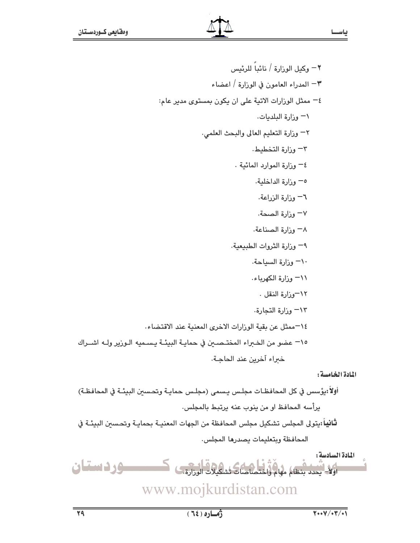٢ – وكيل الوزارة / نائباً للرئيس ٣– المدراء العامون في الوزارة / اعضاء ٤- ممثل الوزارات الاتية على ان يكون بمستوى مدير عام: ١- وزارة البلديات. ٢- وزارة التعليم العالى والبحث العلمى. ٣- وزارة التخطيط. ٤– وزارة الموارد المائية . ٥- وزارة الداخلية. ٦- وزارة الزراعة. ٧– وزارة الصحة. ٨− وزارة الصناعة. ٩- وزارة الثروات الطبيعية. ٦٠ وزارة السياحة. ٦١١ وزارة الكهرباء. ١٢-وزارة النقل . ١٣– وزارة التجارة. ١٤–ممثل عن بقية الوزارات الاخرى المعنية عند الاقتضاء. 10– عضو من الخبراء المختـصـين في حمايـة البيئـة يـسـميه الـورير ولــه اشــراك خىراء آخرين عند الحاجـة.

المادة الخامسة:

أولا:يؤسس في كل المحافظـات مجلـس يـسمى (مجلـس حمايـة وتحـسين البيئـة في المحافظـة) يرأسه المحافظ او من ينوب عنه يرتبط بالمجلس. **ثانيا**ً :يتولى المجلس تشكيل مجلس المحافظة من الجهات المعنيـة بحمايـة وتحـسين البيئـة في المحافظة وبتعليمات يصدرها المجلس. المادة السادسة: وردستان أَوَلَاً – يحدد بنظام مهام واختصاصات تش

www.mojkurdistan.com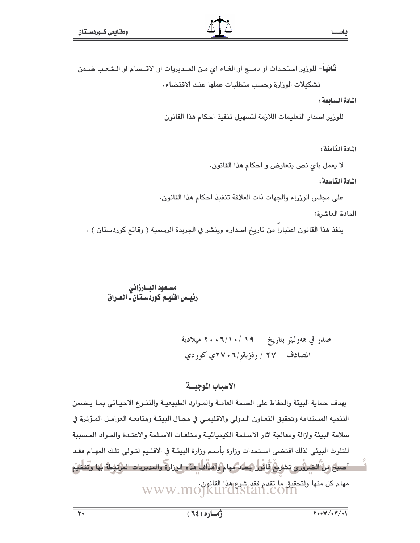**ثانيا**- للورير استحداث او دمــج او الغـاء اي مـن المــديريات او الاقــسام او الـشعب ضـمن تشكيلات الوزارة وحسب متطلبات عملها عند الاقتضاء.

### المادة السابعة:

للورير اصدار التعليمات اللازمة لتسهيل تنفيذ احكام هذا القانون.

المادة الثامنة:

لا يعمل باي نص يتعارض و احكام هذا القانون.

### المادة التناسعة:

على مجلس الوزراء والجهات ذات العلاقة تنفيذ احكام هذا القانون.

المادة العاشرة:

ينفذ هذا القانون اعتبارا من تاريخ اصداره وينشر في الجريدة الرسمية ( وقائع كوردستان ) .

# مسـعود البــارزاني<br>رئيــس اقليــم كوردسـتـان ــ العــراق

### الاسباب الموجيسة

بهدف حماية البيئة والحفاظ على الصحة العامـة والمـوارد الطبيعيـة والتنـوع الاحيـائي بمـا يـضمن التنمية المستدامة وتحقيق التعـاون الـدولي والاقليمـي في مجـال البيئــة ومتابعـة العوامـل المـؤثرة في سلامة البيئة وازالة ومعالجة اثار الاسلحة الكيميائيـة ومخلفـات الاسـلحة والاعتـدة والمـواد المـسببة للتلوث البيئي لذلك اقتضى اسـتحداث وزارة بأسـم وزارة البيئـة في الاقلـيم لتـولى تلـك المهـام فقـد . أصبح مِنْ الصَرْوَري تشريعُ قَائُون يُحاد مهام وأهدافا هذه الوزارة والمديريات المرتثطة بها وتُتنطيم مهام كل منها ولتحقيق ما تقدم فقد شرع هذا القانون.<br>WWW.MO]KUI'OISUAL.COIN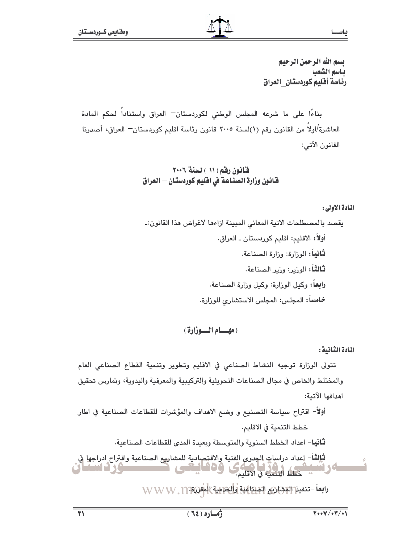بسم الله الرحمن الرحيم ياسم الشعب رئاسة أقليم كوردستان\_العراق

بناءًا على ما شرعه المجلس الوطني لكوردستان<sup>ــ</sup> العراق واستناداً لحكم المادة العاشرة/اولا من القانون رقم (١)لسنة ٢٠٠٥ قانون رئاسة اقليم كوردستان— العراق، أصدرنا القانون الآتي:

### قانون رقم ( ١١ ) لسنة ٢٠٠٦ فـّانون وزارة الصنـاعـة في افليم كوردستـان — العراق

### المادة الأولى:

ياس

(مهسام السوزارة)

المادة الثنانية :

تتولى الوزارة توجيه النشاط الصناعي في الاقليم وتطوير وتنمية القطاع الصناعي العام والمختلط والخاص في مجال الصناعات التحويلية والتركيبية والمعرفية واليدوية، وتمارس تحقيق اهدافها الآتية:

أولاً- اقتراح سياسة التصنيع و وضع الاهداف والمؤشرات للقطاعات الصناعية في اطار خطط التنمية في الاقليم.

**ثانيا**– اعداد الخطط السنوية والمتوسطة ويعيدة المدى للقطاعات الصناعية.

ثْإِلِثْةً- لِعداد دراساتِ الجدوى الفنية والاقتِصادية للمشاريع الصناعية واقتراح ادراجها في وەئايتى المستخدم التحديد في الاقليم.<br>تحطط التنمية في الاقليم. <u> de t</u> **Shima Jon** 

رابعاً -تنفيذ البشاريم المبتاعية والحرمية المقروم WWW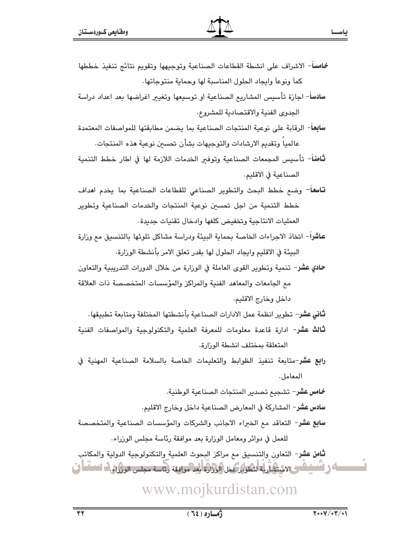- خامساً- الاشراف على انشطة القطاعات الصناعية وتوجيهها وتقويم نتائج تنفيذ خططها كماً ونوعاً وايجاد الحلول المناسبة لها وحماية منتوجاتها.
- سادساً– اجازة تأسيس المشاريع الصناعية او توسيعها وتغيير اغراضها بعد اعداد دراسة الجدوى الفنية والاقتصادية للمشروع.

سابعاً– الرقابة على نوعية المنتجات الصناعية بما يضمن مطابقتها للمواصفات المعتمدة عالميا وتقديم الارشادات والتوجيهات بشأن تحسىن نوعية هذه المنتجات.

- **ثَامنا**ً– تأسيس المجمعات الصناعية وتوفير الخدمات اللازمة لها في اطار خطط التنمية الصناعية في الاقليم.
- تاسعاً- وضع خطط البحث والتطوير الصناعى للقطاعات الصناعية بما يخدم اهداف خطط التنمية من اجل تحسين نوعية المنتجات والخدمات الصناعية وتطوير العمليات الانتاجية وتخفيض كلفها وادخال تقنيات جديدة.
- عاشراً– اتخاذ الاجراءات الخاصة بحماية البيئة ودراسة مشاكل تلوثها بالتنسيق مع وزارة البيئة في الاقليم وايجاد الحلول لها بقدر تعلق الامر بأنشطة الوزارة.
- حادي عشر– تنمية وتطوير القوى العاملة في الوزارة من خلال الدورات التدريبية والتعاون مع الجامعات والمعاهد الفنية والمراكز والمؤسسات المتخصصة ذات العلاقة داخل وخارج الاقليم.

**ثاني عشر**– تطوير انظمة عمل الادارات الصناعية بأنشطتها المختلفة ومتابعة تطبيقها.

- **ثالث عشر** ادارة قاعدة معلومات للمعرفة العلمية والتكنولوجية والمواصفات الفنية المتعلقة بمختلف انشطة الوزارة.
- رابع عشر-متابعة تنفيذ الظوابط والتعليمات الخاصة بالسلامة الصناعية المهنية في المعامل.

خامس عشر– تشجيع تصدير المنتجات الصناعية الوطنية.

- سادس عشر- المشاركة في المعارض الصناعية داخل وخارج الاقليم.
- سابع عشر– التعاقد مم الخبراء الاجانب والشركات والمؤسسات الصناعية والمتخصصة للعمل في دوائر ومعامل الورارة بعد موافقة رئاسة مجلس الورراء.

**ثامن عشر**– التعاون والتنسيق مع مراكز البحوث العلمية والتكنولوجية الدولية والمكاتب ان و انسپاکس لاشتگاریة لتكویر عمل الورارة لید موافقة رئاسة مجلس الوروان النساسا ف

## www.mojkurdistan.com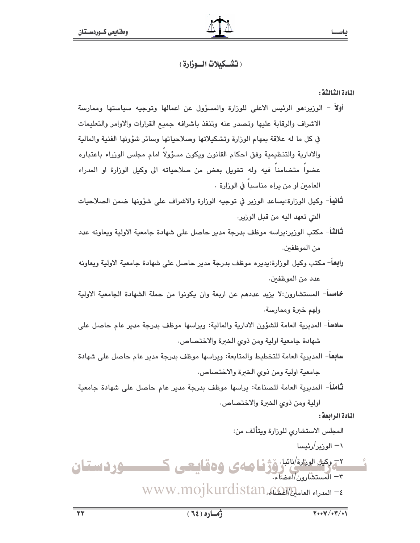### ( تشــكيلات الــوزارة )

### اللادة الثالثة :

- أولاً الورير:هو الرئيس الاعلى للورارة والمسؤول عن اعمالها وتوجيه سياستها وممارسة الاشراف والرقابة عليها وتصدر عنه وتنفذ باشرافه جميع القرارات والاوامر والتعليمات في كل ما له علاقة بمهام الوزارة وتشكيلاتها وصلاحياتها وسائر شؤونها الفنية والمالية والادارية والتنظيمية وفق احكام القانون ويكون مسؤولا امام مجلس الوزراء باعتباره عضوا متضامنا فيه وله تخويل بعض من صلاحياته الى وكيل الوزارة او المدراء العامين او من يراه مناسبا في الوزارة .
- **ثانيا**ً– وكيل الوزارة:يساعد الوزير في توجيه الوزارة والاشراف على شؤونها ضمن الصلاحيات التي تعهد اليه من قبل الوزير.
- **ثالثا** مكتب الورير:يراسه موظف بدرجة مدير حاصل على شهادة جامعية الاولية ويعاونه عدد من الموظفين.
- رابعاً- مكتب وكيل الورارة:يديره موظف بدرجة مدير حاصل على شهادة جامعية الاولية ويعاونه عدد من الموظفين.
- خامساً- المستشارون:لا بزيد عددهم عن اربعة وإن بكونوا من حملة الشهادة الجامعية الاولية ولهم خبرة وممارسة.
- سادسا- المديرية العامة للشؤون الادارية والمالية: ويراسها موظف بدرجة مدير عام حاصل على شهادة جامعية اولية ومن ذوى الخبرة والاختصاص.
- **سابع**اً– المديرية العامة للتخطيط والمتابعة: ويراسها موظف بدرجة مدير عام حاصل على شهادة جامعية اولية ومن ذوى الخبرة والاختصاص.

**ثَّامنا**- المديرية العامة للصناعة: يراسها موظف بدرجة مدير عام حاصل على شهادة جامعية اولية ومن ذوى الخبرة والاختصاص.

المادة الرابعة:

المجلس الاستشاري للوزارة ويتألف من:

۱— الوزیر /رئیسا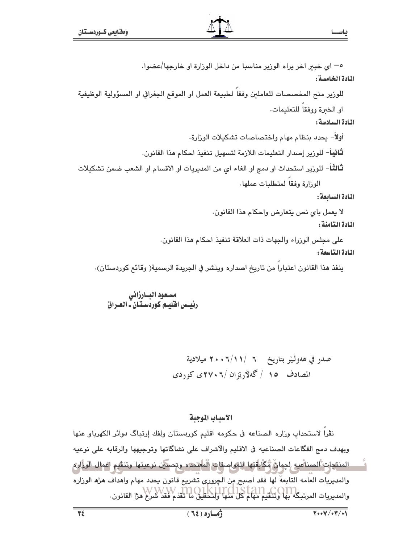٥– اى خبير اخر يراه الورير مناسبا من داخل الورارة او خارجها/عضوا.

### المادة الخامسة :

المادة السادسة:

أولاً- يحدد بنظام مهام واختصاصات تشكيلات الوزارة. **ثاني**اً– للورير إصدار التعليمات اللازمة لتسهيل تنفيذ احكام هذا القانون. **ثالثاً**- للورير استحداث او دمج او الغاء اي من المديريات او الاقسام او الشعب ضمن تشكيلات الوزارة وفقا لمتطلبات عملها.

المادة السائعة:

لا يعمل باي نص يتعارض واحكام هذا القانون. المادة التامنة :

على مجلس الوزراء والجهات ذات العلاقة تنفيذ احكام هذا القانون.

المادة التاسعة:

ينفذ هذا القانون اعتبارا من تاريخ اصداره وينشر في الجريدة الرسمية( وقائم كوردستان).

مسعود البارزانى رئيس اقليم كوردستان- العراق

### الاسباب الموجبة

نڤرا لاستحداب وزاره الصناعه في حكومه اقليم كوردستان ولفك إرتباگ دوائر الكهرباو عنها وبهدف دمج القگاعات الصناعيه في الاقليم والاشراف على نشاگاتها وتوجيهها والرقابه على نوعيه ِ المنتجات ْالصناعيه لِجمانٌ مُكَّابِقَتِها لِلمَواصفاتِ الْمُعتمدَه وتحسَين نوعيتها وتنقيم اعمال الوزارم والمديريات العامه التابعة لها فقد اصبح من الچروري تشريع قانون يحدد مهام واهداف هژه الوزاره والمديريات المرتبكة لبها وتنتقيم مهام كل منها ولتحقيق ما تلقدم فقد شرع هزا القانون.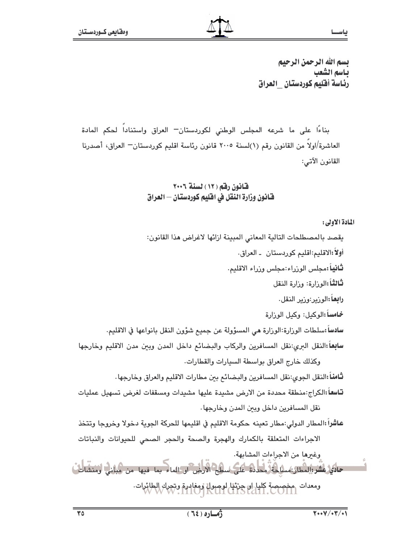ياســا

بسم الله الرحمن الرحيم ياسم الشعب رئاسة أقليم كوردستان العراق

بناءًا على ما شرعه المجلس الوطني لكوردستان "العراق واستناداً لحكم المادة العاشرة/اولا من القانون رقم (١)لسنة ٢٠٠٥ قانون رئاسة اقليم كوردستان— العراق، أصدرنا القانون الآتي:

### قانون رقم ( ١٢ ) لسنة ٢٠٠٦ فـَّانـُون وزارة النـقل في افـليم كـوردستـان — الـعراق

المادة الأولى:

يقصد بالمصطلحات التالية المعاني المبينة ازائها لاغراض هذا القانون: أولاً:الاقليم:اقليم كوردستان \_ العراق. **ثانياً** :مجلس الوزراء:مجلس وزراء الاقليم. **ثالثاً:**الورارة: ورارة النقل را**بعاً** :الورير:ورير النقل. خامساً:الوكيل: وكيل الوزارة سادساً :سلطات الورارة:الورارة هي المسؤولة عن جميع شؤون النقل بانواعها في الاقليم. سابعاً:النقل البرى:نقل المسافرين والركاب والبضائع داخل المدن وبين مدن الاقليم وخارجها وكذلك خارج العراق بواسطة السيارات والقطارات. **ثَّامناً** النقل الجوى:نقل المسافرين والبضائم ببن مطارات الاقليم والعراق وخارجها . تاسعاً الكراج:منطقة محددة من الارض مشيدة عليها مشيدات ومسقفات لغرض تسهيل عمليات نقل المسافرين داخل وبين المدن وخارجها. عاشراً :المطار الدولى:مطار تعينه حكومة الاقليم في اقليمها للحركة الجوية دخولا وخروجا وتتخذ الاجراءات المتعلقة بالكمارك والهجرة والصحة والحجر الصحى للحيوانات والنباتات وغيرها من الاجراءات المشابهة. حادي عشر:المطار:مسلكة محددة على سطح الارض أو الماء بما فيها من مبانه أومنشات ومعدات مخصصة كليا ان حرثيا لوصولا ومغادرة وتحرك الطائرات.<br>COM - THOJ KUI CLIS COLI .COM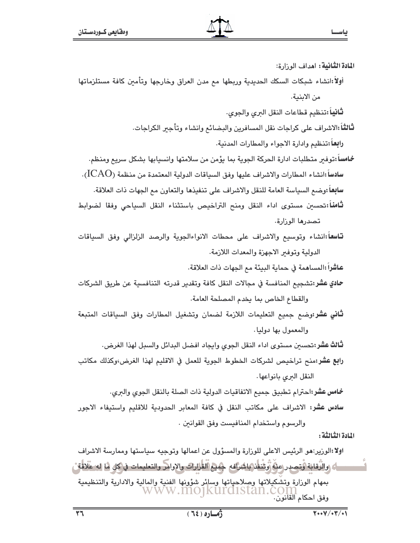ا**لمادة الثّانية:** اهداف الوزارة: أولا:انشاء شبكات السكك الحديدية وربطها مع مدن العراق وخارجها وتأمين كافة مستلزماتها من الاينية.

لثانياً :تنظيم قطاعات النقل البرى والجوى.

- **ثَالثاً** الاشراف على كراجات نقل المسافرين والبضائع وانشاء وتأجبر الكراجات. رابعاً:تنظيم وإدارة الاجواء والمطارات المدنية.
- خامساً :توفير متطلبات ادارة الحركة الجوية بما يؤمن من سلامتها وانسيابها بشكل سريع ومنظم. سادساً :انشاء المطارات والاشراف عليها وفق السياقات الدولية المعتمدة من منظمة (LCAO). سابعاً :وضم السياسة العامة للنقل والاشراف على تنفيذها والتعاون مم الجهات ذات العلاقة.
- ثامناً:تحسين مستوى اداء النقل ومنح التراخيص باستثناء النقل السياحي وفقا لضوابط تصدرها الوزارة.
- تاسعاً:انشاء وتوسيع والاشراف على محطات الانواءالجوية والرصد الزلزالي وفق السياقات الدولية وتوفير الاجهزة والمعدات اللازمة.

عاشراً :المساهمة في حماية البيئة مم الجهات ذات العلاقة.

- حادي عشر:تشجيع المنافسة في مجالات النقل كافة وتقدير قدرته التنافسية عن طريق الشركات والقطاع الخاص بما يخدم المصلحة العامة.
- **ثاني عشر:**وضم جميع التعليمات اللازمة لضمان وتشغيل المطارات وفق السياقات المتبعة والمعمول بها دوليا.

**ثّالث عشر:**تحسين مستوى اداء النقل الجوى وايجاد افضل البدائل والسبل لهذا الغرض.

را**بع عشر:**منح تراخيص لشركات الخطوط الجوية للعمل في الاقليم لهذا الغرض،وكذلك مكاتب النقل البرى بانواعها.

خامس عشر:احترام تطبيق جميع الاتفاقيات الدولية ذات الصلة بالنقل الجوى والبرى. **سادس عشر:** الاشراف على مكاتب النقل في كافة المعابر الحدودية للاقليم واستيفاء الاجور والرسوم واستخدام المنافيست وفق القوانين .

اللادة الثالثة :

اولا:الوزير:هو الرئيس الاعلى للوزارة والمسؤول عن اعمالها وتوجيه سياستها وممارسة الاشراف رِكَ وَالزَّقَابَةِ وَتَصِدِر عِنْهُ زَوْتَنفَذَ بِاشْرَافِهِ ۖ جَمِيعِ القَرَارَاتِ والإِوامرِ والتعليمات في كل ها له علاقة بمهام الوزارة وتشكيلاتها وصلاحياتها وسائر شؤونها الفنية والمالية والادارية والتنظيمية www.mojkurdistan.c وفق احكام القانون.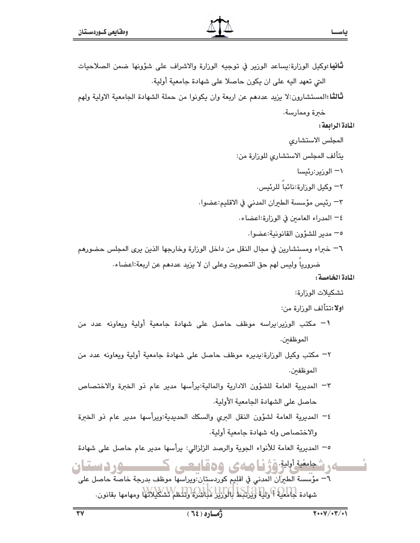**ثَانيا:**وكيل الوزارة:يساعد الوزير في توجيه الوزارة والاشراف على شؤونها ضمن الصلاحيات التي تعهد اليه على ان يكون حاصلا على شهادة جامعية أولية.

**ثَّالثَّا:**المستشارون:لا يزيد عددهم عن اربعة وان يكونوا من حملة الشهادة الجامعية الاولية ولهم

خبرة وممارسة.

### المادة الرابعة :

ياس

المجلس الاستشارى يتألف المجلس الاستشارى للوزارة من: ۱— الوزير:رئيسا ٢- وكيل الوزارة:نائبا للرئيس. ٣– رئيس مؤسسة الطيران المدنى في الاقليم:عضوا. ٤– المدراء العامين في الوزارة:اعضاء. 0- مدير للشؤون القانونية:عضوا. ٦– خبراء ومستشارين في مجال النقل من داخل الوزارة وخارجها الذين يرى المجلس حضورهم ضروريا وليس لهم حق التصويت وعلى ان لا يزيد عددهم عن اربعة:اعضاء.

### المادة الخامسة:

- تشكيلات الوزارة:
- اولا:تتألف الوزارة من:
- \− مكتب الوزير:يراسه موظف حاصل على شهادة جامعية أولية ويعاونه عدد من الموظفين.
- ٢– مكتب وكيل الوزارة:بديره موظف حاصل على شهادة جامعية أولية ويعاونه عدد من الموظفىن.
- ٣- المديرية العامة للشؤون الادارية والمالية:يرأسها مدير عام ذو الخبرة والاختصاص حاصل على الشهادة الجامعية الأولية.
- ٤– المديرية العامة لشؤون النقل البرى والسكك الحديدية:ويرأسها مدير عام ذو الخبرة والاختصاص وله شهادة جامعية أولية.

٥− المديرية العامة للأنواء الجوية والرصد الزلزالي: يرأسها مدير عام حاصل على شهادة

شجعفية أبلية وُژنيا صەي 109قايىچى ك ٦َّ مؤسسة الطيرَآن المدني في اقليم كوردستان ويراسها موظف بدرجة خاصة حاصل على شهادة كِتَامُعِيهِ \$ وَلِيهَا وَيُوَلِّدِيهَا لِبَاوَارِيْلِ مَلِيَاتِيْنِ؟ وَتَنْتَظِمْ لِشْكَلِيْلِاتُهَا ومهامها بقانون.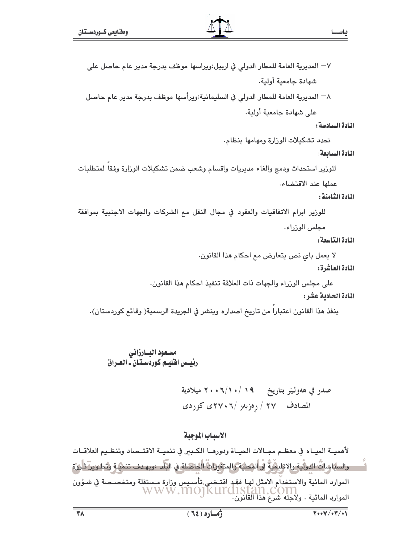٨− المديرية العامة للمطار الدولى في السليمانية:ويرأسها موظف بدرجة مدير عام حاصل على شهادة جامعية أولية.

#### المادة السادسة:

تحدد تشكيلات الوزارة ومهامها بنظام.

#### المادة السابعة:

للوزير استحداث ودمج والغاء مديريات واقسام وشعب ضمن تشكيلات الوزارة وفقا لمتطلبات عملها عند الاقتضاء.

### المادة الثيامنة :

للورير ابرام الاتفاقيات والعقود في مجال النقل مع الشركات والجهات الاجنبية بموافقة مجلس الوزراء.

المادة التناسعة:

لا يعمل باي نص يتعارض مع احكام هذا القانون. المادة العاشرة:

على مجلس الوزراء والجهات ذات العلاقة تنفيذ احكام هذا القانون.

### المادة الحادية عشر:

ينفذ هذا القانون اعتباراً من تاريخ اصداره وينشر في الجريدة الرسمية( وقائع كوردستان).

### مسعود البارزانى رئیس اقلیم کورڈستان۔ العراق

صدر في هەولـێر بتاريخ 19 /١٠/ ٢٠٠٦ ميلادية المصادف /٢٧ / رەزبەر /٢٠٠٦، ٢٧٥ كوردى

### الاسياب الموجية

لأهميــة الميــاه في معظــم مجــالات الحيــاة ودورهــا الكــبـر في تنميــة الاقتــصاد وتنظـيم العلاقــات والسياساتُ الدوليةِ والاقليمَيةُ أو المحلية والمتغيراتُ الحاصلة في البلد ،وبهـدف تنميةٍ وتطـويرٌ تأروُم الموارد المائية والاستخدام الامثل لهـا فقـد اقتـضـي تأسـيس وزارة مـستقلة ومتخصـصـة في شـؤون<br>المسلمان WWW.InOJKUICLISEAN.COM IISLUII.COIII<br>الموارد المائية . ولاجله شرع هذا القانون.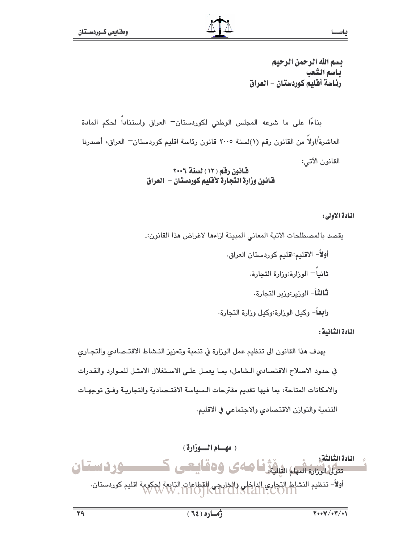بسم الله الرحمن الرحيم ياسم الشعب رئاسة أقليم كوردستان – العراق

بناءًا على ما شرعه المجلس الوطني لكوردستان –العراق واستناداً لحكم المادة العاشرة/اولاً من القانون رقم (١)لسنة ٢٠٠٥ قانون رئاسة اقليم كوردستان— العراق، أصدرنا القانون الآتي:

> قانون رقم (١٣) لسنة ٢٠٠٦ فانون وزارة التجارة لأفليم كوردستان – العراق

### المادة الأولى:

ياس

يقصد بالمصطلحات الاتية المعاني المبينة ازاءها لاغراض هذا القانون:\_

أولاً– الاقليم:اقليم كوردستان العراق. ثانياً – الورارة:ورارة التجارة. **ثالثاً**– الورير:ورير التجارة.

**رابعاً**– وكيل الورارة:وكيل ورارة التجارة.

المادة الثانية :

يهدف هذا القانون الى تنظيم عمل الوزارة في تنمية وتعزيز النـشاط الاقتـصادى والتجـارى في حدود الاصلاح الاقتصادي الشامل، بما يعمل على الاستغلال الامثـل للمـوارد والقـدرات والامكانات المتاحة، بما فيها تقديم مقترحات السياسة الاقتـصادية والتجاريـة وفـق توجهـات التنمية والتوازن الاقتصادي والاجتماعي في الاقليم.

![](_page_40_Picture_11.jpeg)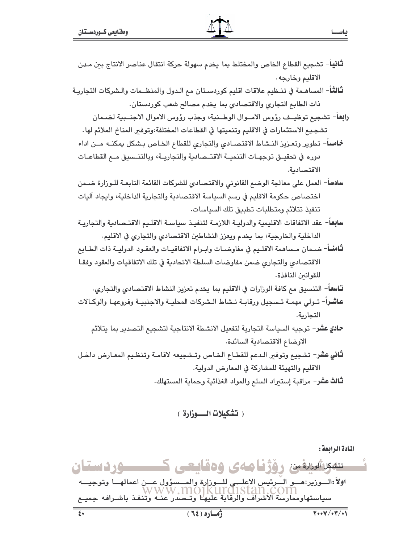- **ثانيا**ً– تشجيع القطاع الخاص والمختلط بما يخدم سهولة حركة انتقال عناصر الانتاج ببن مدن الاقليم وخارجه.
- **ثالث**اً– المساهـمة في تنــظيم علاقات اقليم كوردسـتان مم الـدول والمنظــمات والـشركات التجاريـة ذات الطابع التجاري والاقتصادي بما يخدم مصالح شعب كوردستان.
	- رابعاً- تشجيع توظيــف رؤوس الامــوال الوطــنية، وجذب رؤوس الاموال الاجنــبية لضـمان تشجيع الاستثمارات في الاقليم وتنميتها في القطاعات المختلفة،وتوفير المناخ الملائم لها.

خامساً- تطوير وتعـزيز النـشاط الاقتصـادي والتجاري للقطاع الخـاص بـشكل يمكنـه مــن اداء دوره في تحقيــق توجهــات التنميــة الاقتــصادية والتجاريــة، وبالتنــسيق مــع القطاعــات الاقتصادية.

- سادساً– العمل على معالجة الوضع القانوني والاقتصادي للشركات القائمة التابعـة للـوزارة ضـمن اختصاص حكومة الاقليم في رسم السياسة الاقتصادية والتجارية الداخلية، وايجاد آليات تنفيذ تتلائم ومتطلبات تطبيق تلك السياسات.
- سابعاً– عقد الاتفاقات الاقليمية والدوليـة اللازمـة لتنفيـذ سياسـة الاقلـيم الاقتــصادية والتجاريـة الداخلية والخارجية، بما يخدم ويعزز النشاطين الاقتصادي والتجاري في الاقليم.
- **ثامنــ**اً- ضـمان مـساهمة الاقلـيم في مفاوضــات وابـرام الاتفاقيـات والعقـود الدوليــة ذات الطــابـع الاقتصادي والتجاري ضمن مفاوضات السلطة الاتحادية في تلك الاتفاقيات والعقود وفقا للقوانين النافذة.
- **تـاسعـ**ا– التنسيق مـع كافـة الورارات في الاقليم بما يخدم تعزيز النشاط الاقتصادي والتجاري. عاشراً– تـولى مهمـة تـسجيل ورقابـة نـشاط الـشركات المحليـة والاجنبيـة وفروعهـا والوكـالات التحارية.
	- حادي عشر– توجيه السياسة التجارية لتفعيل الانشطة الانتاجية لتشجيع التصدير بما يتلائم الاوضاع الاقتصادية السائدة.
- **ثاني عش**ر– تشجيع وتوفير الـدعم للقطـاع الخـاص وتـشجيعه لاقامـة وتنظـيم المعـارض داخـل الاقليم والتهيئة للمشاركة في المعارض الدولية.

**ثـالث عشر**– مراقبة إستيراد السلع والمواد الغذائية وحماية المستهلك.

( تشكيلات الـــــوزارة )

المادة الرابعة: تته العادة من رؤژنا مەي ۋەقايچى كىسىسوردىستان اولاً:الــوزير:هـــو الــُـرئيس الاعلـــى للــوزارة والمــسؤول عـــن اعمالهـــا وتوجيـــه<br>WWW .11101KUP01Stan .CO111<br>سياستهاوممارسة الأشراف والرقابة عليهـا وتــصدر عنــه وتنفـذ باشـرافه جميـع  $\sqrt{7200}$  $Y \cdot Y / (Y / 1)$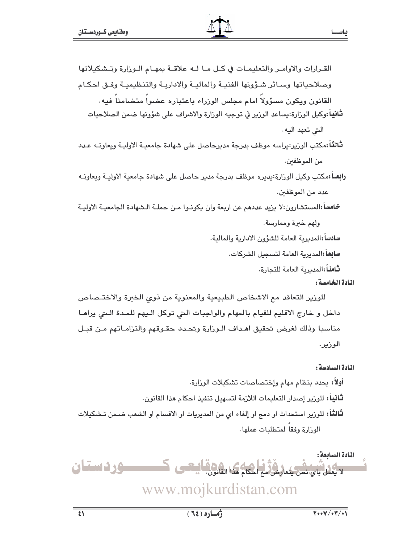المادة الخامسة :

للوزير التعاقد مع الاشخاص الطبيعية والمعنوية من ذوى الخبرة والاختـصاص داخل و خارج الاقليم للقيام بالمهام والواجبات التي توكل الـيهم للمـدة الـتي يراهـا مناسبا وذلك لغرض تحقيق اهداف الـوزارة وتحدد حقـوقهم والتزامـاتهم مـن قبـل الوزير.

المادة السادسة:

أولاً: بحدد بنظام مهام وإختصاصات تشكيلات الوزارة. **ثانيا:** للورير إصدار التعليمات اللازمة لتسهيل تنفيذ احكام **م**ذا القانون. ثالثاً: للوزير استحداث او دمج او إلغاء اى من المديريات او الاقسام او الشعب ضـمن تـشكيلات الوزارة وفقا لمتطلبات عملها.

المادة السابعة : **-وردستان** أحكام هذا القانق لا بعمل بای نص بتعارض مع www.mojkurdistan.com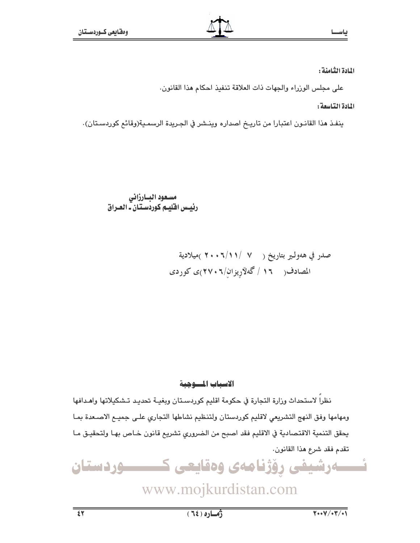المادة الثامنة :

على مجلس الوزراء والجهات ذات العلاقة تنفيذ احكام هذا القانون.

المادة التاسعة :

ينفذ هذا القانـون اعتبارا من تاريـخ اصداره وينـشر في الجـريدة الرسمـية(وقائـع كوردسـتان).

نظراً لاستحداث وزارة التجارة في حكومة اقليم كوردسـتان وبغيــة تحديـد تـشكيلاتها واهـدافها ومهامها وفق النهج التشريعي لاقليم كوردستان ولتنظيم نشاطها التجاري على جميع الاصعدة بما يحقق التنمية الاقتصادية في الاقليم فقد اصبح من الضروري تشريع قانون خـاص بهـا ولتحقيـق مـا تقدم فقد شرع هذا القانون.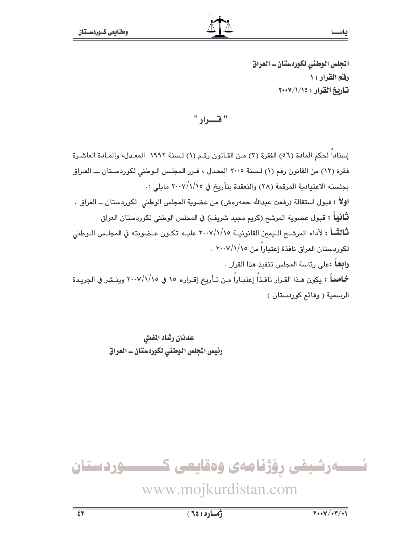الجلس الوطني لكوردستان ــ العراق رفق القرار: ١ تاريخ القرار: ٢٠٠٧/١/١٥

" فقسواد "

إسناداً لحكم المادة (٥٦) الفقرة (٣) مـن القـانون رقـم (١) لـسنة ١٩٩٢ المعـدل، والمـادة العاشـرة فقرة (١٢) من القانون رقم (١) لسنة ٢٠٠٥ المعدل ، قـرر المجلـس الـوطني لكوردسـتان ـــ العـراق بجلسته الاعتيادية المرقمة (٢٨) والنعقدة بتأريخ في ٢٠٠٧/١/١٥ مايلي :. اوِلاً : قبول استقالة (رفعت عبدالله حمەرەش) من عضوية المجلس الوطنی لکوردستان ــ العراق . **ثَـانيـاً : ق**بول عضوية المرشح (كريم مجيد شريف) في المجلس الوطني لكوردستان العراق . ثَّالثُــاً : لأداء المرشــح الــيمين القانونيــة ٢٠٠٧/١/١٥ عليــه تكــون عــضويته في المجلــس الــوطني لكوردستان العراق نافذة إعتباراً من ٢٠٠٧/١/١٥ . **رابعاً :**على رئاسة المجلس تنفيذ هذا القرار . **خماساً :** يكون هـذا القـرار نافـذاً إعتبـاراً مـن تـأريخ إقـراره ١٥ في ٢٠٠٧/١/١٥ وينـشر في الجريـدة الرسمية ( وقائم كوردستان )

> عدنان رشاد المفتى رئيس المجلس الوطني لكوردستان ــ العراق

ئــــــەرشيفى رۆژنامەى وەقايعى كــــــــــوردستان

## www.mojkurdistan.com

ياس